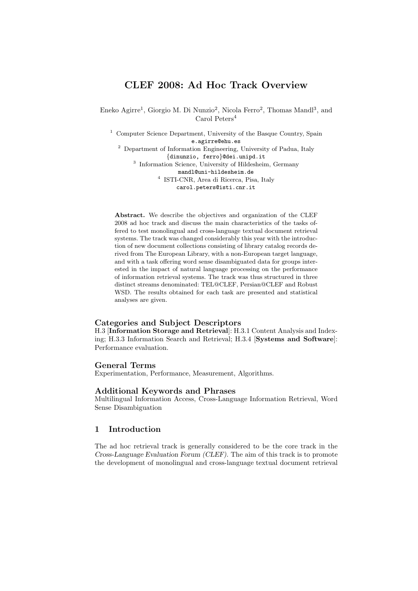# CLEF 2008: Ad Hoc Track Overview

Eneko Agirre<sup>1</sup>, Giorgio M. Di Nunzio<sup>2</sup>, Nicola Ferro<sup>2</sup>, Thomas Mandl<sup>3</sup>, and Carol Peters<sup>4</sup>

<sup>1</sup> Computer Science Department, University of the Basque Country, Spain e.agirre@ehu.es <sup>2</sup> Department of Information Engineering, University of Padua, Italy {dinunzio, ferro}@dei.unipd.it 3 Information Science, University of Hildesheim, Germany mandl@uni-hildesheim.de

> 4 ISTI-CNR, Area di Ricerca, Pisa, Italy carol.peters@isti.cnr.it

Abstract. We describe the objectives and organization of the CLEF 2008 ad hoc track and discuss the main characteristics of the tasks offered to test monolingual and cross-language textual document retrieval systems. The track was changed considerably this year with the introduction of new document collections consisting of library catalog records derived from The European Library, with a non-European target language, and with a task offering word sense disambiguated data for groups interested in the impact of natural language processing on the performance of information retrieval systems. The track was thus structured in three distinct streams denominated: TEL@CLEF, Persian@CLEF and Robust WSD. The results obtained for each task are presented and statistical analyses are given.

## Categories and Subject Descriptors

H.3 [Information Storage and Retrieval]: H.3.1 Content Analysis and Indexing; H.3.3 Information Search and Retrieval; H.3.4 [Systems and Software]: Performance evaluation.

# General Terms

Experimentation, Performance, Measurement, Algorithms.

## Additional Keywords and Phrases

Multilingual Information Access, Cross-Language Information Retrieval, Word Sense Disambiguation

# 1 Introduction

The ad hoc retrieval track is generally considered to be the core track in the Cross-Language Evaluation Forum (CLEF). The aim of this track is to promote the development of monolingual and cross-language textual document retrieval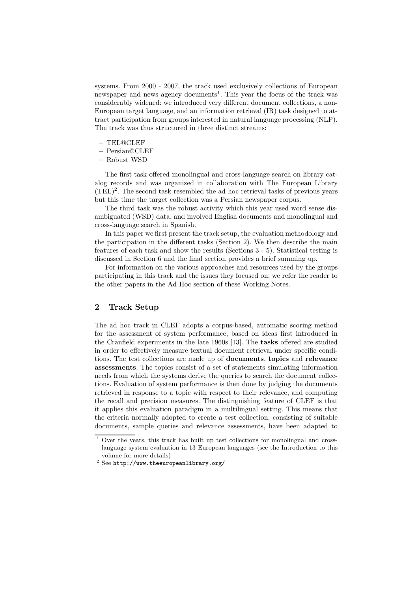systems. From 2000 - 2007, the track used exclusively collections of European newspaper and news agency documents<sup>1</sup>. This year the focus of the track was considerably widened: we introduced very different document collections, a non-European target language, and an information retrieval (IR) task designed to attract participation from groups interested in natural language processing (NLP). The track was thus structured in three distinct streams:

- TEL@CLEF
- Persian@CLEF
- Robust WSD

The first task offered monolingual and cross-language search on library catalog records and was organized in collaboration with The European Library  $(TEL)^2$ . The second task resembled the ad hoc retrieval tasks of previous years but this time the target collection was a Persian newspaper corpus.

The third task was the robust activity which this year used word sense disambiguated (WSD) data, and involved English documents and monolingual and cross-language search in Spanish.

In this paper we first present the track setup, the evaluation methodology and the participation in the different tasks (Section 2). We then describe the main features of each task and show the results (Sections 3 - 5). Statistical testing is discussed in Section 6 and the final section provides a brief summing up.

For information on the various approaches and resources used by the groups participating in this track and the issues they focused on, we refer the reader to the other papers in the Ad Hoc section of these Working Notes.

# 2 Track Setup

The ad hoc track in CLEF adopts a corpus-based, automatic scoring method for the assessment of system performance, based on ideas first introduced in the Cranfield experiments in the late 1960s [13]. The tasks offered are studied in order to effectively measure textual document retrieval under specific conditions. The test collections are made up of documents, topics and relevance assessments. The topics consist of a set of statements simulating information needs from which the systems derive the queries to search the document collections. Evaluation of system performance is then done by judging the documents retrieved in response to a topic with respect to their relevance, and computing the recall and precision measures. The distinguishing feature of CLEF is that it applies this evaluation paradigm in a multilingual setting. This means that the criteria normally adopted to create a test collection, consisting of suitable documents, sample queries and relevance assessments, have been adapted to

 $\overline{1}$  Over the years, this track has built up test collections for monolingual and crosslanguage system evaluation in 13 European languages (see the Introduction to this volume for more details)

 $^2$  See http://www.theeuropeanlibrary.org/  $\,$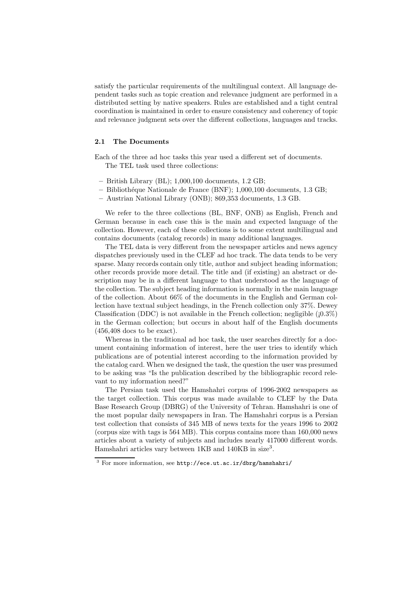satisfy the particular requirements of the multilingual context. All language dependent tasks such as topic creation and relevance judgment are performed in a distributed setting by native speakers. Rules are established and a tight central coordination is maintained in order to ensure consistency and coherency of topic and relevance judgment sets over the different collections, languages and tracks.

## 2.1 The Documents

Each of the three ad hoc tasks this year used a different set of documents. The TEL task used three collections:

- $-$  British Library (BL); 1,000,100 documents, 1.2 GB;
- Biblioth´eque Nationale de France (BNF); 1,000,100 documents, 1.3 GB;
- Austrian National Library (ONB); 869,353 documents, 1.3 GB.

We refer to the three collections (BL, BNF, ONB) as English, French and German because in each case this is the main and expected language of the collection. However, each of these collections is to some extent multilingual and contains documents (catalog records) in many additional languages.

The TEL data is very different from the newspaper articles and news agency dispatches previously used in the CLEF ad hoc track. The data tends to be very sparse. Many records contain only title, author and subject heading information; other records provide more detail. The title and (if existing) an abstract or description may be in a different language to that understood as the language of the collection. The subject heading information is normally in the main language of the collection. About 66% of the documents in the English and German collection have textual subject headings, in the French collection only 37%. Dewey Classification (DDC) is not available in the French collection; negligible  $(10.3\%)$ in the German collection; but occurs in about half of the English documents (456,408 docs to be exact).

Whereas in the traditional ad hoc task, the user searches directly for a document containing information of interest, here the user tries to identify which publications are of potential interest according to the information provided by the catalog card. When we designed the task, the question the user was presumed to be asking was "Is the publication described by the bibliographic record relevant to my information need?"

The Persian task used the Hamshahri corpus of 1996-2002 newspapers as the target collection. This corpus was made available to CLEF by the Data Base Research Group (DBRG) of the University of Tehran. Hamshahri is one of the most popular daily newspapers in Iran. The Hamshahri corpus is a Persian test collection that consists of 345 MB of news texts for the years 1996 to 2002 (corpus size with tags is 564 MB). This corpus contains more than 160,000 news articles about a variety of subjects and includes nearly 417000 different words. Hamshahri articles vary between 1KB and 140KB in size<sup>3</sup>.

<sup>3</sup> For more information, see http://ece.ut.ac.ir/dbrg/hamshahri/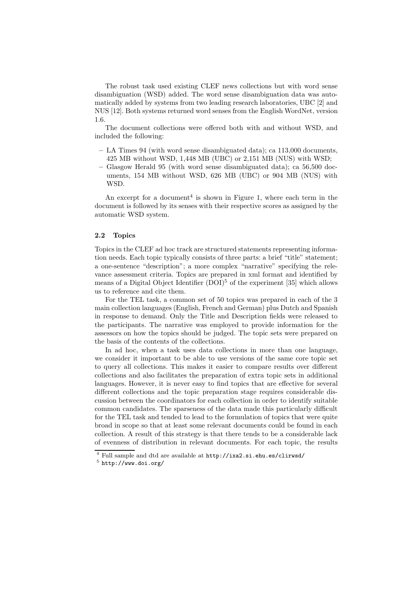The robust task used existing CLEF news collections but with word sense disambiguation (WSD) added. The word sense disambiguation data was automatically added by systems from two leading research laboratories, UBC [2] and NUS [12]. Both systems returned word senses from the English WordNet, version 1.6.

The document collections were offered both with and without WSD, and included the following:

- LA Times 94 (with word sense disambiguated data); ca 113,000 documents, 425 MB without WSD, 1,448 MB (UBC) or 2,151 MB (NUS) with WSD;
- Glasgow Herald 95 (with word sense disambiguated data); ca 56,500 documents, 154 MB without WSD, 626 MB (UBC) or 904 MB (NUS) with WSD.

An excerpt for a document<sup>4</sup> is shown in Figure 1, where each term in the document is followed by its senses with their respective scores as assigned by the automatic WSD system.

#### 2.2 Topics

Topics in the CLEF ad hoc track are structured statements representing information needs. Each topic typically consists of three parts: a brief "title" statement; a one-sentence "description"; a more complex "narrative" specifying the relevance assessment criteria. Topics are prepared in xml format and identified by means of a Digital Object Identifier  $(DOI)^5$  of the experiment [35] which allows us to reference and cite them.

For the TEL task, a common set of 50 topics was prepared in each of the 3 main collection languages (English, French and German) plus Dutch and Spanish in response to demand. Only the Title and Description fields were released to the participants. The narrative was employed to provide information for the assessors on how the topics should be judged. The topic sets were prepared on the basis of the contents of the collections.

In ad hoc, when a task uses data collections in more than one language, we consider it important to be able to use versions of the same core topic set to query all collections. This makes it easier to compare results over different collections and also facilitates the preparation of extra topic sets in additional languages. However, it is never easy to find topics that are effective for several different collections and the topic preparation stage requires considerable discussion between the coordinators for each collection in order to identify suitable common candidates. The sparseness of the data made this particularly difficult for the TEL task and tended to lead to the formulation of topics that were quite broad in scope so that at least some relevant documents could be found in each collection. A result of this strategy is that there tends to be a considerable lack of evenness of distribution in relevant documents. For each topic, the results

<sup>4</sup> Full sample and dtd are available at http://ixa2.si.ehu.es/clirwsd/

<sup>5</sup> http://www.doi.org/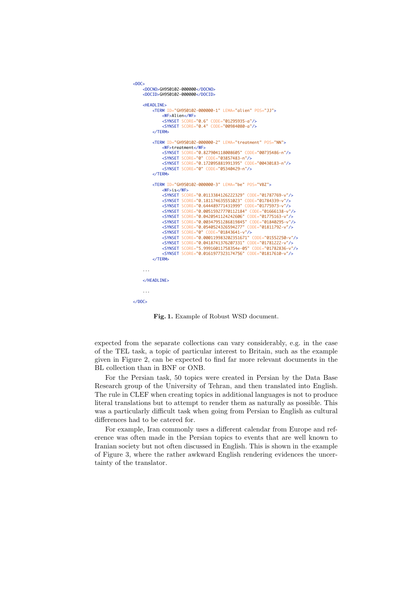```
200C<sub>3</sub> <DOCNO>GH950102-000000</DOCNO>
     <DOCID>GH950102-000000</DOCID>
     <HEADLINE>
          <TERM ID="GH950102-000000-1" LEMA="alien" POS="JJ">
 <WF>Alien</WF>
 <SYNSET SCORE="0.6" CODE="01295935-a"/>
               <SYNSET SCORE="0.4" CODE="00984080-a"/>
          </TERM>
          <TERM ID="GH950102-000000-2" LEMA="treatment" POS="NN">
               <WF>treatment</WF>
              <SYNSET SCORE="0.827904118008605" CODE="00735486-n"/>
              <SYNSET SCORE="0" CODE="03857483-n"/>
              <SYNSET SCORE="0.172095881991395" CODE="00430183-n"/>
               <SYNSET SCORE="0" CODE="05340429-n"/>
          </TERM>
          <TERM ID="GH950102-000000-3" LEMA="be" POS="VBZ">
              <WF>is</WF>
              <SYNSET SCORE="0.0113384126222329" CODE="01787769-v"/>
 <SYNSET SCORE="0.181174635551023" CODE="01784339-v"/>
 <SYNSET SCORE="0.644489771431999" CODE="01775973-v"/>
              <SYNSET SCORE="0.00515927770112184" CODE="01666138-v"/>
              <SYNSET SCORE="0.0420541124242606" CODE="01775163-v"/>
              <SYNSET SCORE="0.00347951286819845" CODE="01840295-v"/>
              <SYNSET SCORE="0.0540524326594277" CODE="01811792-v"/>
              <SYNSET SCORE="0" CODE="01843641-v"/>
 <SYNSET SCORE="0.000119983202351671" CODE="01552250-v"/>
 <SYNSET SCORE="0.0418741376207331" CODE="01781222-v"/>
              <SYNSET SCORE="5.99916011758354e-05" CODE="01782836-v"/>
              <SYNSET SCORE="0.0161977323174756" CODE="01817610-v"/>
          </TERM>
     ... 
    \epsilon/HEADLINES
 ...
</DOC>
```
Fig. 1. Example of Robust WSD document.

expected from the separate collections can vary considerably, e.g. in the case of the TEL task, a topic of particular interest to Britain, such as the example given in Figure 2, can be expected to find far more relevant documents in the BL collection than in BNF or ONB.

For the Persian task, 50 topics were created in Persian by the Data Base Research group of the University of Tehran, and then translated into English. The rule in CLEF when creating topics in additional languages is not to produce literal translations but to attempt to render them as naturally as possible. This was a particularly difficult task when going from Persian to English as cultural differences had to be catered for.

For example, Iran commonly uses a different calendar from Europe and reference was often made in the Persian topics to events that are well known to Iranian society but not often discussed in English. This is shown in the example of Figure 3, where the rather awkward English rendering evidences the uncertainty of the translator.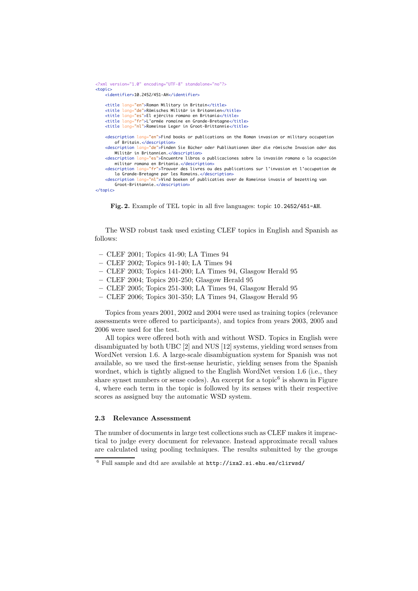```
<?xml version="1.0" encoding="UTF-8" standalone="no"?>
<topic>
     <identifier>10.2452/451-AH</identifier>
     <title lang="en">Roman Military in Britain</title>
     <title lang="de">Römisches Militär in Britannien</title>
     <title lang="es">El ejército romano en Britania</title>
     <title lang="fr">L'armée romaine en Grande-Bretagne</title>
     <title lang="nl">Romeinse Leger in Groot-Brittannie</title>
     <description lang="en">Find books or publications on the Roman invasion or military occupation
         of Britain.</description>
     <description lang="de">Finden Sie Bücher oder Publikationen über die römische Invasion oder das
         Militär in Britannien.</description>
     <description lang="es">Encuentre libros o publicaciones sobre la invasión romana o la ocupación
         militar romana en Britania.</description>
     <description lang="fr">Trouver des livres ou des publications sur l'invasion et l'occupation de
 la Grande-Bretagne par les Romains.</description>
 <description lang="nl">Vind boeken of publicaties over de Romeinse invasie of bezetting van
         Groot-Brittannie.</description>
</topic>
```
Fig. 2. Example of TEL topic in all five languages: topic 10.2452/451-AH.

The WSD robust task used existing CLEF topics in English and Spanish as follows:

- CLEF 2001; Topics 41-90; LA Times 94
- CLEF 2002; Topics 91-140; LA Times 94
- CLEF 2003; Topics 141-200; LA Times 94, Glasgow Herald 95
- CLEF 2004; Topics 201-250; Glasgow Herald 95
- CLEF 2005; Topics 251-300; LA Times 94, Glasgow Herald 95
- CLEF 2006; Topics 301-350; LA Times 94, Glasgow Herald 95

Topics from years 2001, 2002 and 2004 were used as training topics (relevance assessments were offered to participants), and topics from years 2003, 2005 and 2006 were used for the test.

All topics were offered both with and without WSD. Topics in English were disambiguated by both UBC [2] and NUS [12] systems, yielding word senses from WordNet version 1.6. A large-scale disambiguation system for Spanish was not available, so we used the first-sense heuristic, yielding senses from the Spanish wordnet, which is tightly aligned to the English WordNet version 1.6 (i.e., they share synset numbers or sense codes). An excerpt for a topic<sup>6</sup> is shown in Figure 4, where each term in the topic is followed by its senses with their respective scores as assigned buy the automatic WSD system.

## 2.3 Relevance Assessment

The number of documents in large test collections such as CLEF makes it impractical to judge every document for relevance. Instead approximate recall values are calculated using pooling techniques. The results submitted by the groups

 $6$  Full sample and dtd are available at  $http://ixa2.si.ehu.es/clirwsd/$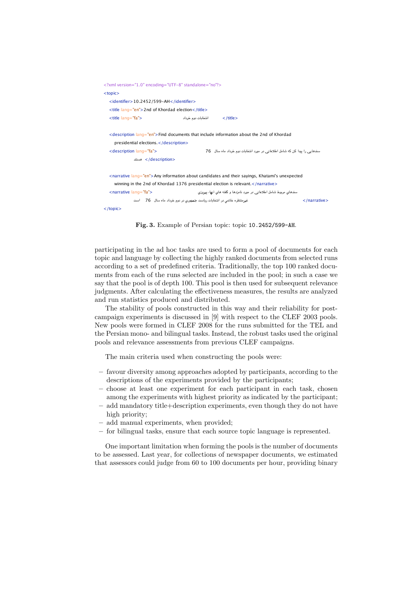| xml version="1.0" encoding="UTF-8" standalone="no"?                                                       |                    |                                                                           |                                |
|-----------------------------------------------------------------------------------------------------------|--------------------|---------------------------------------------------------------------------|--------------------------------|
| $topic$                                                                                                   |                    |                                                                           |                                |
| <identifier>10.2452/599-AH</identifier>                                                                   |                    |                                                                           |                                |
| <title lang="en">2nd of Khordad election</title>                                                          |                    |                                                                           |                                |
| <title lang="fa"></title>                                                                                 | انتخابات دوم خرداد | $\langle$ /title>                                                         |                                |
|                                                                                                           |                    |                                                                           |                                |
| <description lang="en">Find documents that include information about the 2nd of Khordad</description>     |                    |                                                                           |                                |
| presidential elections.                                                                                   |                    |                                                                           |                                |
| <description lang="fa"></description>                                                                     |                    | سندهایی را بیدا کن که شامل اطلاعاتی در مورد انتخابات دوم خرداد ماه سال 76 |                                |
| مستند                                                                                                     |                    |                                                                           |                                |
|                                                                                                           |                    |                                                                           |                                |
| <narrative lang="en">Any information about candidates and their sayings, Khatami's unexpected</narrative> |                    |                                                                           |                                |
| winning in the 2nd of Khordad 1376 presidential election is relevant                                      |                    |                                                                           |                                |
| <narrative lang="fa"></narrative>                                                                         |                    | سندهای مربوط شامل اطلاعاتی در مورد نامزدها و گفته های آنها، پیروزی        |                                |
| غیرمنتظره خاتمی در انتخابات ریاست جمهوری در دوم خرداد ماه سال 76 - است                                    |                    |                                                                           | $\langle$ /narrative $\rangle$ |
| $\langle$ /topic $\rangle$                                                                                |                    |                                                                           |                                |

Fig. 3. Example of Persian topic: topic 10.2452/599-AH.

participating in the ad hoc tasks are used to form a pool of documents for each topic and language by collecting the highly ranked documents from selected runs according to a set of predefined criteria. Traditionally, the top 100 ranked documents from each of the runs selected are included in the pool; in such a case we say that the pool is of depth 100. This pool is then used for subsequent relevance judgments. After calculating the effectiveness measures, the results are analyzed and run statistics produced and distributed.

The stability of pools constructed in this way and their reliability for postcampaign experiments is discussed in [9] with respect to the CLEF 2003 pools. New pools were formed in CLEF 2008 for the runs submitted for the TEL and the Persian mono- and bilingual tasks. Instead, the robust tasks used the original pools and relevance assessments from previous CLEF campaigns.

The main criteria used when constructing the pools were:

- favour diversity among approaches adopted by participants, according to the descriptions of the experiments provided by the participants;
- choose at least one experiment for each participant in each task, chosen among the experiments with highest priority as indicated by the participant;
- add mandatory title+description experiments, even though they do not have high priority;
- add manual experiments, when provided;
- for bilingual tasks, ensure that each source topic language is represented.

One important limitation when forming the pools is the number of documents to be assessed. Last year, for collections of newspaper documents, we estimated that assessors could judge from 60 to 100 documents per hour, providing binary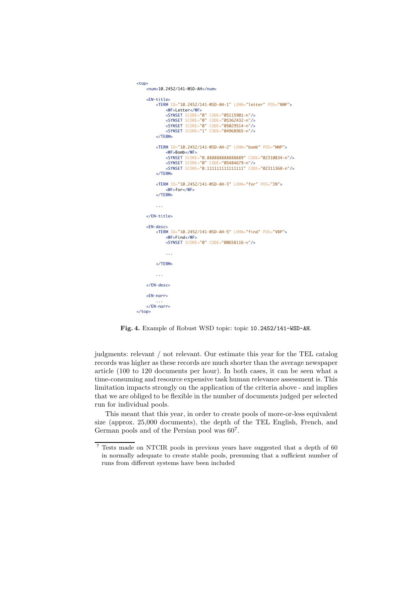```
<top>
     <num>10.2452/141-WSD-AH</num>
    \timesFN-title>
          <TERM ID="10.2452/141-WSD-AH-1" LEMA="letter" POS="NNP">
 <WF>Letter</WF>
 <SYNSET SCORE="0" CODE="05115901-n"/>
 <SYNSET SCORE="0" CODE="05362432-n"/>
               <SYNSET SCORE="0" CODE="05029514-n"/>
               <SYNSET SCORE="1" CODE="04968965-n"/>
          </TERM>
          <TERM ID="10.2452/141-WSD-AH-2" LEMA="bomb" POS="NNP">
               <WF>Bomb</WF>
               <SYNSET SCORE="0.888888888888889" CODE="02310834-n"/>
 <SYNSET SCORE="0" CODE="05484679-n"/>
 <SYNSET SCORE="0.111111111111111" CODE="02311368-n"/>
          </TERM>
          <TERM ID="10.2452/141-WSD-AH-3" LEMA="for" POS="IN">
               <WF>for</WF>
          </TERM>
          ... 
     </EN-title>
     <EN-desc>
          <TERM ID="10.2452/141-WSD-AH-5" LEMA="find" POS="VBP">
              -WF\text{-Find}/WF\text{-} <SYNSET SCORE="0" CODE="00658116-v"/>
               ... 
          </TERM>
          ... 
     </EN-desc>
     <EN-narr>
 ... 
 </EN-narr>
</top>
```
Fig. 4. Example of Robust WSD topic: topic 10.2452/141-WSD-AH.

judgments: relevant / not relevant. Our estimate this year for the TEL catalog records was higher as these records are much shorter than the average newspaper article (100 to 120 documents per hour). In both cases, it can be seen what a time-consuming and resource expensive task human relevance assessment is. This limitation impacts strongly on the application of the criteria above - and implies that we are obliged to be flexible in the number of documents judged per selected run for individual pools.

This meant that this year, in order to create pools of more-or-less equivalent size (approx. 25,000 documents), the depth of the TEL English, French, and German pools and of the Persian pool was 60<sup>7</sup> .

 $^7$  Tests made on NTCIR pools in previous years have suggested that a depth of  $60\,$ in normally adequate to create stable pools, presuming that a sufficient number of runs from different systems have been included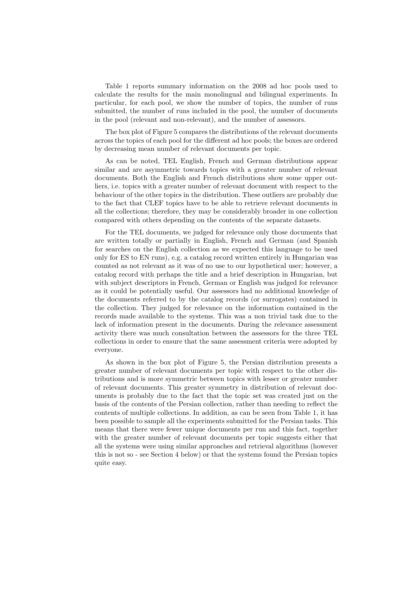Table 1 reports summary information on the 2008 ad hoc pools used to calculate the results for the main monolingual and bilingual experiments. In particular, for each pool, we show the number of topics, the number of runs submitted, the number of runs included in the pool, the number of documents in the pool (relevant and non-relevant), and the number of assessors.

The box plot of Figure 5 compares the distributions of the relevant documents across the topics of each pool for the different ad hoc pools; the boxes are ordered by decreasing mean number of relevant documents per topic.

As can be noted, TEL English, French and German distributions appear similar and are asymmetric towards topics with a greater number of relevant documents. Both the English and French distributions show some upper outliers, i.e. topics with a greater number of relevant document with respect to the behaviour of the other topics in the distribution. These outliers are probably due to the fact that CLEF topics have to be able to retrieve relevant documents in all the collections; therefore, they may be considerably broader in one collection compared with others depending on the contents of the separate datasets.

For the TEL documents, we judged for relevance only those documents that are written totally or partially in English, French and German (and Spanish for searches on the English collection as we expected this language to be used only for ES to EN runs), e.g. a catalog record written entirely in Hungarian was counted as not relevant as it was of no use to our hypothetical user; however, a catalog record with perhaps the title and a brief description in Hungarian, but with subject descriptors in French, German or English was judged for relevance as it could be potentially useful. Our assessors had no additional knowledge of the documents referred to by the catalog records (or surrogates) contained in the collection. They judged for relevance on the information contained in the records made available to the systems. This was a non trivial task due to the lack of information present in the documents. During the relevance assessment activity there was much consultation between the assessors for the three TEL collections in order to ensure that the same assessment criteria were adopted by everyone.

As shown in the box plot of Figure 5, the Persian distribution presents a greater number of relevant documents per topic with respect to the other distributions and is more symmetric between topics with lesser or greater number of relevant documents. This greater symmetry in distribution of relevant documents is probably due to the fact that the topic set was created just on the basis of the contents of the Persian collection, rather than needing to reflect the contents of multiple collections. In addition, as can be seen from Table 1, it has been possible to sample all the experiments submitted for the Persian tasks. This means that there were fewer unique documents per run and this fact, together with the greater number of relevant documents per topic suggests either that all the systems were using similar approaches and retrieval algorithms (however this is not so - see Section 4 below) or that the systems found the Persian topics quite easy.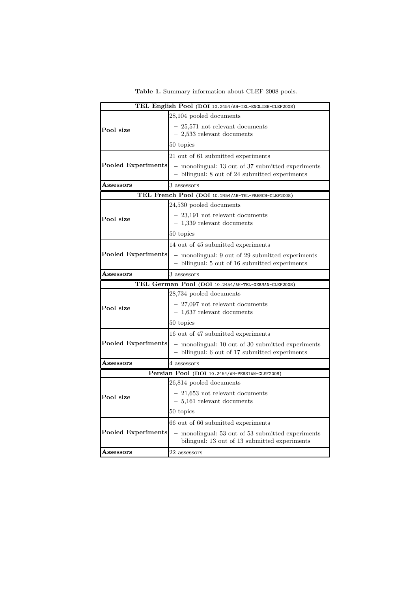|  |  |  | Table 1. Summary information about CLEF 2008 pools. |  |  |  |  |
|--|--|--|-----------------------------------------------------|--|--|--|--|
|--|--|--|-----------------------------------------------------|--|--|--|--|

|                            | TEL English Pool (DOI 10.2454/AH-TEL-ENGLISH-CLEF2008)                                               |
|----------------------------|------------------------------------------------------------------------------------------------------|
|                            | 28,104 pooled documents                                                                              |
| Pool size                  | - 25,571 not relevant documents<br>$-2,533$ relevant documents                                       |
|                            | 50 topics                                                                                            |
|                            | 21 out of 61 submitted experiments                                                                   |
| Pooled Experiments         | - monolingual: 13 out of 37 submitted experiments<br>- bilingual: 8 out of 24 submitted experiments  |
| $\operatorname{Assessors}$ | 3 assessors                                                                                          |
|                            | TEL French Pool (DOI 10.2454/AH-TEL-FRENCH-CLEF2008)                                                 |
|                            | 24,530 pooled documents                                                                              |
| Pool size                  | - 23,191 not relevant documents<br>$-1,339$ relevant documents                                       |
|                            | 50 topics                                                                                            |
|                            | 14 out of 45 submitted experiments                                                                   |
| Pooled Experiments         | - monolingual: 9 out of 29 submitted experiments<br>- bilingual: 5 out of 16 submitted experiments   |
| $\operatorname{Assessors}$ | 3 assessors                                                                                          |
|                            | TEL German Pool (DOI 10.2454/AH-TEL-GERMAN-CLEF2008)                                                 |
|                            | 28,734 pooled documents                                                                              |
| Pool size                  | $-27,097$ not relevant documents<br>$-1,637$ relevant documents                                      |
|                            | 50 topics                                                                                            |
|                            | 16 out of 47 submitted experiments                                                                   |
| Pooled Experiments         | - monolingual: 10 out of 30 submitted experiments<br>- bilingual: 6 out of 17 submitted experiments  |
| $\operatorname{Assessors}$ | 4 assessors                                                                                          |
|                            | Persian Pool (DOI 10.2454/AH-PERSIAN-CLEF2008)                                                       |
|                            | 26,814 pooled documents                                                                              |
| Pool size                  | $-21,653$ not relevant documents<br>$-5,161$ relevant documents                                      |
|                            | 50 topics                                                                                            |
|                            | 66 out of 66 submitted experiments                                                                   |
| Pooled Experiments         | - monolingual: 53 out of 53 submitted experiments<br>- bilingual: 13 out of 13 submitted experiments |
|                            |                                                                                                      |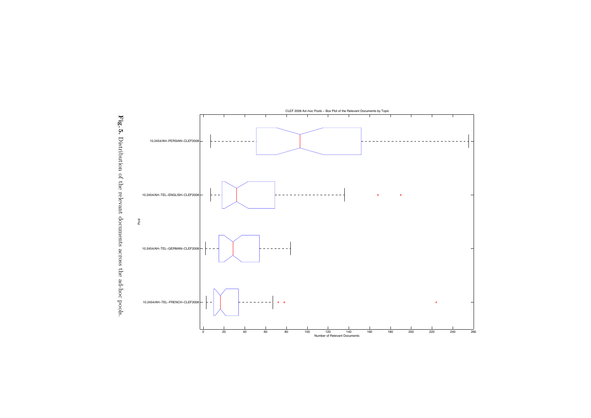

Fig. 5. Distribution of the relevant documents across the ad-hoc pools. Distribution of the relevant documents across the ad-hoc pools.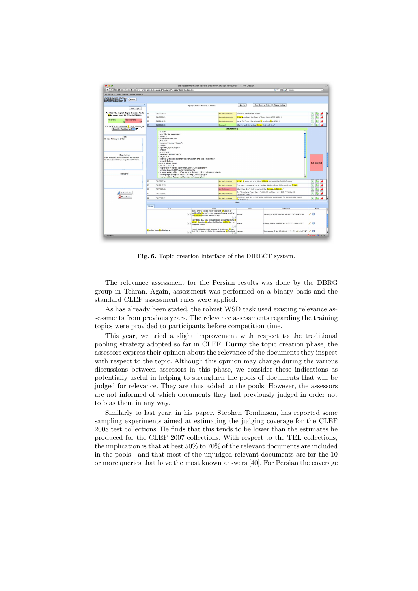

Fig. 6. Topic creation interface of the DIRECT system.

The relevance assessment for the Persian results was done by the DBRG group in Tehran. Again, assessment was performed on a binary basis and the standard CLEF assessment rules were applied.

As has already been stated, the robust WSD task used existing relevance assessments from previous years. The relevance assessments regarding the training topics were provided to participants before competition time.

This year, we tried a slight improvement with respect to the traditional pooling strategy adopted so far in CLEF. During the topic creation phase, the assessors express their opinion about the relevance of the documents they inspect with respect to the topic. Although this opinion may change during the various discussions between assessors in this phase, we consider these indications as potentially useful in helping to strengthen the pools of documents that will be judged for relevance. They are thus added to the pools. However, the assessors are not informed of which documents they had previously judged in order not to bias them in any way.

Similarly to last year, in his paper, Stephen Tomlinson, has reported some sampling experiments aimed at estimating the judging coverage for the CLEF 2008 test collections. He finds that this tends to be lower than the estimates he produced for the CLEF 2007 collections. With respect to the TEL collections, the implication is that at best 50% to 70% of the relevant documents are included in the pools - and that most of the unjudged relevant documents are for the 10 or more queries that have the most known answers [40]. For Persian the coverage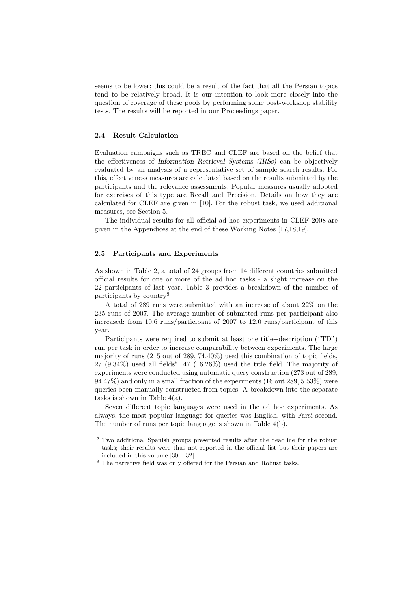seems to be lower; this could be a result of the fact that all the Persian topics tend to be relatively broad. It is our intention to look more closely into the question of coverage of these pools by performing some post-workshop stability tests. The results will be reported in our Proceedings paper.

#### 2.4 Result Calculation

Evaluation campaigns such as TREC and CLEF are based on the belief that the effectiveness of Information Retrieval Systems (IRSs) can be objectively evaluated by an analysis of a representative set of sample search results. For this, effectiveness measures are calculated based on the results submitted by the participants and the relevance assessments. Popular measures usually adopted for exercises of this type are Recall and Precision. Details on how they are calculated for CLEF are given in [10]. For the robust task, we used additional measures, see Section 5.

The individual results for all official ad hoc experiments in CLEF 2008 are given in the Appendices at the end of these Working Notes [17,18,19].

#### 2.5 Participants and Experiments

As shown in Table 2, a total of 24 groups from 14 different countries submitted official results for one or more of the ad hoc tasks - a slight increase on the 22 participants of last year. Table 3 provides a breakdown of the number of participants by country<sup>8</sup>

A total of 289 runs were submitted with an increase of about 22% on the 235 runs of 2007. The average number of submitted runs per participant also increased: from 10.6 runs/participant of 2007 to 12.0 runs/participant of this year.

Participants were required to submit at least one title+description ("TD") run per task in order to increase comparability between experiments. The large majority of runs (215 out of 289, 74.40%) used this combination of topic fields, 27 (9.34%) used all fields<sup>9</sup>, 47 (16.26%) used the title field. The majority of experiments were conducted using automatic query construction (273 out of 289, 94.47%) and only in a small fraction of the experiments (16 out 289, 5.53%) were queries been manually constructed from topics. A breakdown into the separate tasks is shown in Table  $4(a)$ .

Seven different topic languages were used in the ad hoc experiments. As always, the most popular language for queries was English, with Farsi second. The number of runs per topic language is shown in Table 4(b).

<sup>8</sup> Two additional Spanish groups presented results after the deadline for the robust tasks; their results were thus not reported in the official list but their papers are included in this volume [30], [32].

 $^9$  The narrative field was only offered for the Persian and Robust tasks.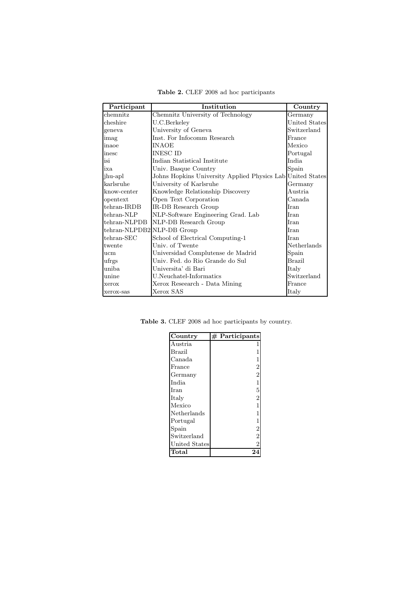| Participant                | Institution                                                | Country       |
|----------------------------|------------------------------------------------------------|---------------|
| chemnitz                   | Chemnitz University of Technology                          | Germany       |
| cheshire                   | U.C.Berkeley                                               | United States |
| geneva                     | University of Geneva                                       | Switzerland   |
| imag                       | Inst. For Infocomm Research                                | France        |
| inaoe                      | <b>INAOE</b>                                               | Mexico        |
| inesc                      | <b>INESC ID</b>                                            | Portugal      |
| isi                        | Indian Statistical Institute                               | <b>India</b>  |
| ixa                        | Univ. Basque Country                                       | Spain         |
| jhu-apl                    | Johns Hopkins University Applied Physics Lab United States |               |
| karlsruhe                  | University of Karlsruhe                                    | Germany       |
| know-center                | Knowledge Relationship Discovery                           | Austria.      |
| opentext                   | Open Text Corporation                                      | Canada        |
| $tehran-IRDB$              | IR-DB Research Group                                       | <b>Iran</b>   |
| tehran-NLP                 | NLP-Software Engineering Grad. Lab                         | Iran          |
| tehran-NLPDB               | NLP-DB Research Group                                      | <b>I</b> ran  |
| tehran-NLPDB2 NLP-DB Group |                                                            | Iran          |
| tehran-SEC                 | School of Electrical Computing-1                           | <b>I</b> ran  |
| twente                     | Univ. of Twente                                            | Netherlands   |
| ucm                        | Universidad Complutense de Madrid                          | Spain         |
| ufrgs                      | Univ. Fed. do Rio Grande do Sul                            | <b>Brazil</b> |
| uniba                      | Universita' di Bari                                        | Italy         |
| unine                      | U.Neuchatel-Informatics                                    | Switzerland   |
| xerox                      | Xerox Research - Data Mining                               | France        |
| xerox-sas                  | Xerox SAS                                                  | Italy         |

Table 2. CLEF 2008 ad hoc participants

Table 3. CLEF 2008 ad hoc participants by country.

| Country                         | $#$ Participants |
|---------------------------------|------------------|
| Austria                         |                  |
| Brazil                          |                  |
| Canada                          | 1                |
| France                          | $\overline{2}$   |
| Germany                         | $\overline{2}$   |
| India                           | $\mathbf{1}$     |
| Iran                            | $\overline{5}$   |
| Italy                           | $\overline{2}$   |
| Mexico                          | $\overline{1}$   |
| Netherlands                     | $\overline{1}$   |
| Portugal                        | $\mathbf{1}$     |
| Spain                           | $\overline{2}$   |
| Switzerland                     | $\frac{2}{2}$    |
| United States                   |                  |
| $\operatorname{\textsf{Total}}$ | 24               |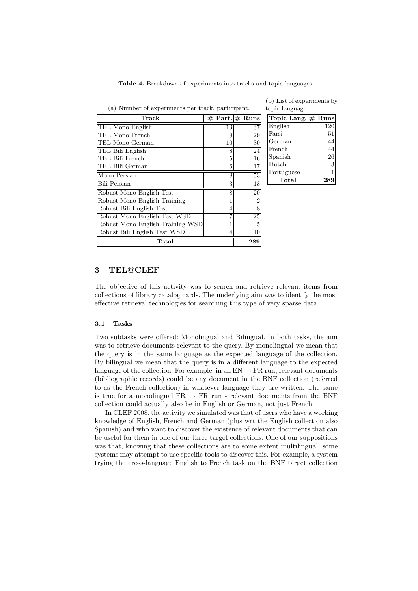Table 4. Breakdown of experiments into tracks and topic languages.

| Track                            |    | $# Part. \# Runs$ | Topic Lang. $#$ Runs |     |
|----------------------------------|----|-------------------|----------------------|-----|
| TEL Mono English                 | 13 | 37                | English              | 120 |
| TEL Mono French                  | 9  | 29                | Farsi                | 51  |
| TEL Mono German                  | 10 | 30                | German               | 44  |
| TEL Bili English                 | 8  | 24                | French               | 44  |
| TEL Bili French                  | 5  | 16                | Spanish              | 26  |
| TEL Bili German                  | 6  | 17                | Dutch                | 3   |
| Mono Persian                     | 8  | 53                | Portuguese           | 1   |
| <b>Bili Persian</b>              | 3  | 13                | Total                | 289 |
| Robust Mono English Test         | 8  | 20                |                      |     |
| Robust Mono English Training     |    |                   |                      |     |
| Robust Bili English Test         | 4  | 8                 |                      |     |
| Robust Mono English Test WSD     |    | 25                |                      |     |
| Robust Mono English Training WSD |    |                   |                      |     |
| Robust Bili English Test WSD     | 4  | 10                |                      |     |
| Total                            |    | 289               |                      |     |

(a) Number of experiments per track, participant. (b) List of experiments by

| topic language.    |     |
|--------------------|-----|
| Topic Lang. # Runs |     |
| English            | 120 |
| Farsi              | 51  |

# 3 TEL@CLEF

The objective of this activity was to search and retrieve relevant items from collections of library catalog cards. The underlying aim was to identify the most effective retrieval technologies for searching this type of very sparse data.

#### 3.1 Tasks

Two subtasks were offered: Monolingual and Bilingual. In both tasks, the aim was to retrieve documents relevant to the query. By monolingual we mean that the query is in the same language as the expected language of the collection. By bilingual we mean that the query is in a different language to the expected language of the collection. For example, in an  $EN \to FR$  run, relevant documents (bibliographic records) could be any document in the BNF collection (referred to as the French collection) in whatever language they are written. The same is true for a monolingual  $FR \rightarrow FR$  run - relevant documents from the BNF collection could actually also be in English or German, not just French.

In CLEF 2008, the activity we simulated was that of users who have a working knowledge of English, French and German (plus wrt the English collection also Spanish) and who want to discover the existence of relevant documents that can be useful for them in one of our three target collections. One of our suppositions was that, knowing that these collections are to some extent multilingual, some systems may attempt to use specific tools to discover this. For example, a system trying the cross-language English to French task on the BNF target collection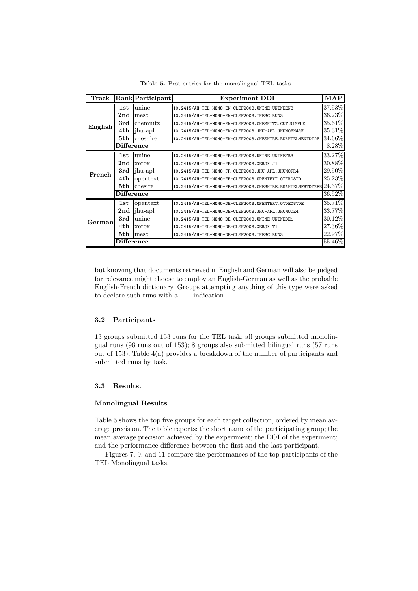| Track   |                                    | <b>Rank</b> Participant | <b>Experiment DOI</b>                                                 | $\mathbf{MAP}$ |
|---------|------------------------------------|-------------------------|-----------------------------------------------------------------------|----------------|
|         | 1st                                | unine                   | 10.2415/AH-TEL-MONO-EN-CLEF2008.UNINE.UNINEEN3                        | 37.53%         |
|         | 2 <sub>nd</sub>                    | inesc                   | 10.2415/AH-TEL-MONO-EN-CLEF2008.INESC.RUN3                            | 36.23%         |
| English | 3rd                                | chemnitz                | 10.2415/AH-TEL-MONO-EN-CLEF2008.CHEMNITZ.CUT_SIMPLE                   | $35.61\%$      |
|         | 4th                                | jhu-apl                 | 10.2415/AH-TEL-MONO-EN-CLEF2008.JHU-APL.JHUMOEN4RF                    | 35.31\%        |
|         | 5th                                | cheshire                | 10.2415/AH-TEL-MONO-EN-CLEF2008.CHESHIRE.BKAHTELMENTDT2F              | 34.66%         |
|         | <b>Difference</b>                  |                         |                                                                       | 8.28\%         |
|         | 1st                                | unine                   | 10.2415/AH-TEL-MONO-FR-CLEF2008.UNINE.UNINEFR3                        | 33.27%         |
| French  | 2 <sub>nd</sub>                    | xerox                   | 10.2415/AH-TEL-MONO-FR-CLEF2008.XEROX.J1                              | 30.88%         |
|         | 3rd                                | jhu-apl                 | 10.2415/AH-TEL-MONO-FR-CLEF2008.JHU-APL.JHUMOFR4                      | 29.50%         |
|         | 4th                                | opentext                | 10.2415/AH-TEL-MONO-FR-CLEF2008.OPENTEXT.OTFR08TD                     | $25.23\%$      |
|         | 5th                                | chesire                 | 10.2415/AH-TEL-MONO-FR-CLEF2008. CHESHIRE. BKAHTELMFRTDT2FB $24.37\%$ |                |
|         | Difference                         |                         |                                                                       | 36.52%         |
|         | 1st                                | opentext                | 10.2415/AH-TEL-MONO-DE-CLEF2008.OPENTEXT.OTDE08TDE                    | 35.71%         |
|         | 2nd                                | jhu-apl                 | 10.2415/AH-TEL-MONO-DE-CLEF2008.JHU-APL.JHUMODE4                      | 33.77%         |
| Germanl | 3rd                                | unine                   | 10.2415/AH-TEL-MONO-DE-CLEF2008.UNINE.UNINEDE1                        | 30.12%         |
|         | 4th                                | xerox                   | 10.2415/AH-TEL-MONO-DE-CLEF2008.XEROX.T1                              | 27.36%         |
|         | 5th                                | inesc                   | 10.2415/AH-TEL-MONO-DE-CLEF2008.INESC.RUN3                            | 22.97%         |
|         | $\overline{\mathrm{Diffe} }$ rence |                         |                                                                       | 55.46%         |

Table 5. Best entries for the monolingual TEL tasks.

but knowing that documents retrieved in English and German will also be judged for relevance might choose to employ an English-German as well as the probable English-French dictionary. Groups attempting anything of this type were asked to declare such runs with a  $++$  indication.

## 3.2 Participants

13 groups submitted 153 runs for the TEL task: all groups submitted monolingual runs (96 runs out of 153); 8 groups also submitted bilingual runs (57 runs out of 153). Table 4(a) provides a breakdown of the number of participants and submitted runs by task.

#### 3.3 Results.

#### Monolingual Results

Table 5 shows the top five groups for each target collection, ordered by mean average precision. The table reports: the short name of the participating group; the mean average precision achieved by the experiment; the DOI of the experiment; and the performance difference between the first and the last participant.

Figures 7, 9, and 11 compare the performances of the top participants of the TEL Monolingual tasks.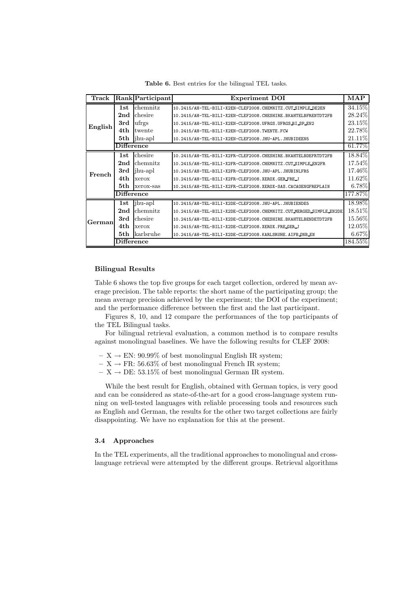Table 6. Best entries for the bilingual TEL tasks.

| Track   |                   | Rank Participant  | <b>Experiment DOI</b>                                              | $\mathbf{MAP}$ |
|---------|-------------------|-------------------|--------------------------------------------------------------------|----------------|
|         | 1st               | chemnitz          | 10.2415/AH-TEL-BILI-X2EN-CLEF2008.CHEMNITZ.CUT SIMPLE_DE2EN        | 34.15%         |
|         | 2 <sub>nd</sub>   | chesire           | 10.2415/AH-TEL-BILI-X2EN-CLEF2008.CHESHIRE.BKAHTELBFRENTDT2FB      | 28.24%         |
| English | 3rd               | $\mathrm{u}$ frgs | 10.2415/AH-TEL-BILI-X2EN-CLEF2008.UFRGS.UFRGS BI SP_EN2            | 23.15%         |
|         | 4th               | twente            | 10.2415/AH-TEL-BILI-X2EN-CLEF2008.TWENTE.FCW                       | 22.78%         |
|         | 5th               | jhu-apl           | 10.2415/AH-TEL-BILI-X2EN-CLEF2008.JHU-APL.JHUBIDEEN5               | 21.11%         |
|         | <b>Difference</b> |                   |                                                                    | 61.77%         |
|         | 1st               | chesire           | 10.2415/AH-TEL-BILI-X2FR-CLEF2008.CHESHIRE.BKAHTELBDEFRTDT2FB      | 18.84%         |
| French  | 2 <sub>nd</sub>   | chemnitz          | 10.2415/AH-TEL-BILI-X2FR-CLEF2008.CHEMNITZ.CUTSIMPLE_EN2FR         | 17.54%         |
|         | 3rd               | jhu-apl           | 10.2415/AH-TEL-BILI-X2FR-CLEF2008.JHU-APL.JHUBINLFR5               | 17.46%         |
|         | 4th               | xerox             | 10.2415/AH-TEL-BILI-X2FR-CLEF2008.XEROX.GER_FRE_J                  | 11.62%         |
|         | 5th               | xerox-sas         | 10.2415/AH-TEL-BILI-X2FR-CLEF2008.XEROX-SAS.CACAOENGFREPLAIN       | $6.78\%$       |
|         | <b>Difference</b> |                   |                                                                    | 177.87%        |
|         | 1st               | jhu-apl           | 10.2415/AH-TEL-BILI-X2DE-CLEF2008.JHU-APL.JHUBIENDE5               | 18.98%         |
|         | 2 <sub>nd</sub>   | chemnitz          | 10.2415/AH-TEL-BILI-X2DE-CLEF2008.CHEMNITZ.CUT_MERGED_SIMPLE_EN2DE | 18.51%         |
| German  | 3rd               | chesire           | 10.2415/AH-TEL-BILI-X2DE-CLEF2008.CHESHIRE.BKAHTELBENDETDT2FB      | $15.56\%$      |
|         | 4th               | xerox             | 10.2415/AH-TEL-BILI-X2DE-CLEF2008.XEROX.FRE.GER_J                  | 12.05%         |
|         | 5th               | karlsruhe         | 10.2415/AH-TEL-BILI-X2DE-CLEF2008.KARLSRUHE.AIFBONBEN              | $6.67\%$       |
|         | Difference        |                   |                                                                    | $184.55\%$     |

### Bilingual Results

Table 6 shows the top five groups for each target collection, ordered by mean average precision. The table reports: the short name of the participating group; the mean average precision achieved by the experiment; the DOI of the experiment; and the performance difference between the first and the last participant.

Figures 8, 10, and 12 compare the performances of the top participants of the TEL Bilingual tasks.

For bilingual retrieval evaluation, a common method is to compare results against monolingual baselines. We have the following results for CLEF 2008:

- $X \rightarrow EN: 90.99\%$  of best monolingual English IR system;
- $X \rightarrow FR: 56.63\%$  of best monolingual French IR system;
- $X \rightarrow DE: 53.15\%$  of best monolingual German IR system.

While the best result for English, obtained with German topics, is very good and can be considered as state-of-the-art for a good cross-language system running on well-tested languages with reliable processing tools and resources such as English and German, the results for the other two target collections are fairly disappointing. We have no explanation for this at the present.

## 3.4 Approaches

In the TEL experiments, all the traditional approaches to monolingual and crosslanguage retrieval were attempted by the different groups. Retrieval algorithms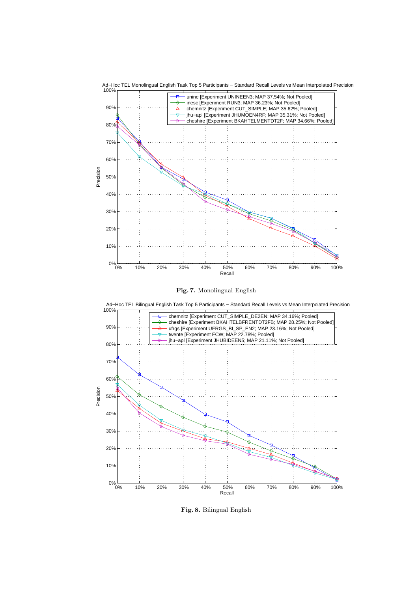



 $0\%$ <sub>0%</sub>

10%

20%

30%

0% 10% 20% 30% 40% 50% 60% 70% 80% 90% 100%

Recall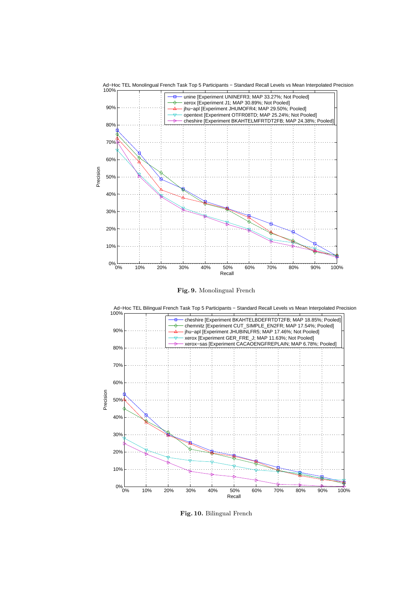



Fig. 10. Bilingual French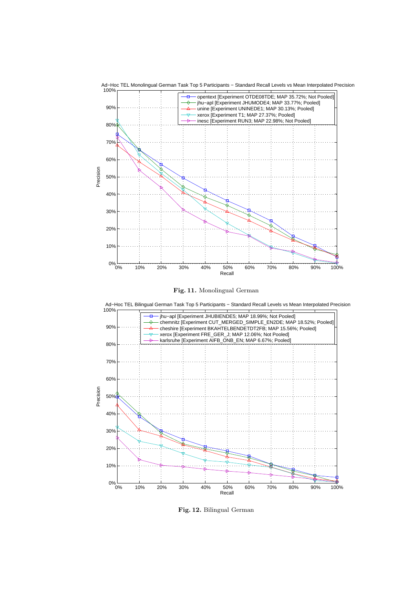





Fig. 12. Bilingual German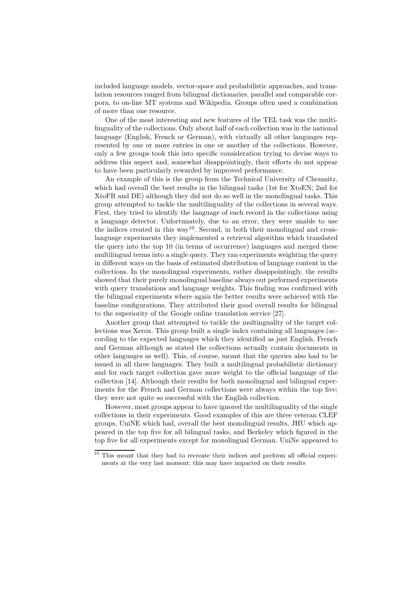included language models, vector-space and probabilistic approaches, and translation resources ranged from bilingual dictionaries, parallel and comparable corpora, to on-line MT systems and Wikipedia. Groups often used a combination of more than one resource.

One of the most interesting and new features of the TEL task was the multilinguality of the collections. Only about half of each collection was in the national language (English, French or German), with virtually all other languages represented by one or more entries in one or another of the collections. However, only a few groups took this into specific consideration trying to devise ways to address this aspect and, somewhat disappointingly, their efforts do not appear to have been particularly rewarded by improved performance.

An example of this is the group from the Technical University of Chemnitz, which had overall the best results in the bilingual tasks (1st for XtoEN; 2nd for XtoFR and DE) although they did not do so well in the monolingual tasks. This group attempted to tackle the multilinguality of the collections in several ways. First, they tried to identify the language of each record in the collections using a language detector. Unfortunately, due to an error, they were unable to use the indices created in this way<sup>10</sup>. Second, in both their monolingual and crosslanguage experiments they implemented a retrieval algorithm which translated the query into the top 10 (in terms of occurrence) languages and merged these multilingual terms into a single query. They ran experiments weighting the query in different ways on the basis of estimated distribution of language content in the collections. In the monolingual experiments, rather disappointingly, the results showed that their purely monolingual baseline always out performed experiments with query translations and language weights. This finding was confirmed with the bilingual experiments where again the better results were achieved with the baseline configurations. They attributed their good overall results for bilingual to the superiority of the Google online translation service [27].

Another group that attempted to tackle the multinguality of the target collections was Xerox. This group built a single index containing all languages (according to the expected languages which they identified as just English, French and German although as stated the collections actually contain documents in other languages as well). This, of course, meant that the queries also had to be issued in all three languages. They built a multilingual probabilistic dictionary and for each target collection gave more weight to the official language of the collection [14]. Although their results for both monolingual and bilingual experiments for the French and German collections were always within the top five; they were not quite so successful with the English collection.

However, most groups appear to have ignored the multilinguality of the single collections in their experiments. Good examples of this are three veteran CLEF groups, UniNE which had, overall the best monolingual results, JHU which appeared in the top five for all bilingual tasks, and Berkeley which figured in the top five for all experiments except for monolingual German. UniNe appeared to

<sup>10</sup> This meant that they had to recreate their indices and perform all official experiments at the very last moment; this may have impacted on their results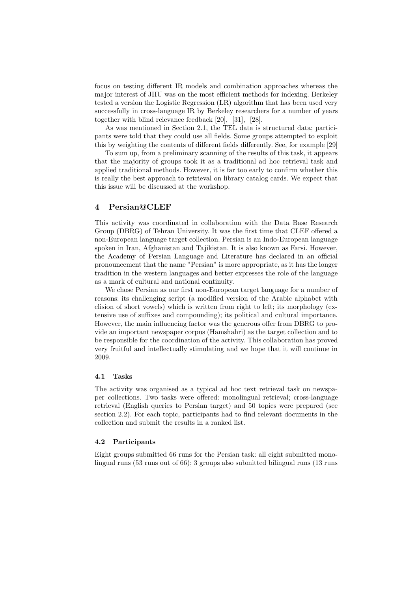focus on testing different IR models and combination approaches whereas the major interest of JHU was on the most efficient methods for indexing. Berkeley tested a version the Logistic Regression (LR) algorithm that has been used very successfully in cross-language IR by Berkeley researchers for a number of years together with blind relevance feedback [20], [31], [28].

As was mentioned in Section 2.1, the TEL data is structured data; participants were told that they could use all fields. Some groups attempted to exploit this by weighting the contents of different fields differently. See, for example [29]

To sum up, from a preliminary scanning of the results of this task, it appears that the majority of groups took it as a traditional ad hoc retrieval task and applied traditional methods. However, it is far too early to confirm whether this is really the best approach to retrieval on library catalog cards. We expect that this issue will be discussed at the workshop.

## 4 Persian@CLEF

This activity was coordinated in collaboration with the Data Base Research Group (DBRG) of Tehran University. It was the first time that CLEF offered a non-European language target collection. Persian is an Indo-European language spoken in Iran, Afghanistan and Tajikistan. It is also known as Farsi. However, the Academy of Persian Language and Literature has declared in an official pronouncement that the name "Persian" is more appropriate, as it has the longer tradition in the western languages and better expresses the role of the language as a mark of cultural and national continuity.

We chose Persian as our first non-European target language for a number of reasons: its challenging script (a modified version of the Arabic alphabet with elision of short vowels) which is written from right to left; its morphology (extensive use of suffixes and compounding); its political and cultural importance. However, the main influencing factor was the generous offer from DBRG to provide an important newspaper corpus (Hamshahri) as the target collection and to be responsible for the coordination of the activity. This collaboration has proved very fruitful and intellectually stimulating and we hope that it will continue in 2009.

## 4.1 Tasks

The activity was organised as a typical ad hoc text retrieval task on newspaper collections. Two tasks were offered: monolingual retrieval; cross-language retrieval (English queries to Persian target) and 50 topics were prepared (see section 2.2). For each topic, participants had to find relevant documents in the collection and submit the results in a ranked list.

## 4.2 Participants

Eight groups submitted 66 runs for the Persian task: all eight submitted monolingual runs (53 runs out of 66); 3 groups also submitted bilingual runs (13 runs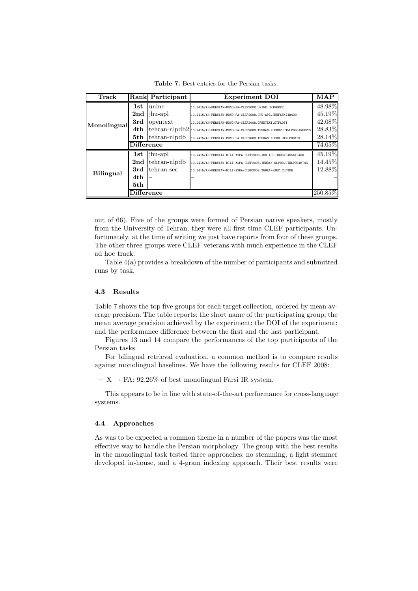|  | <b>Table 7.</b> Best entries for the Persian tasks. |  |  |  |  |  |  |  |
|--|-----------------------------------------------------|--|--|--|--|--|--|--|
|--|-----------------------------------------------------|--|--|--|--|--|--|--|

| <b>Track</b>     |                   | Rank Participant | <b>Experiment DOI</b>                                                               | <b>MAP</b> |
|------------------|-------------------|------------------|-------------------------------------------------------------------------------------|------------|
|                  | 1st               | unine            | 10.2415/AH-PERSIAN-MONO-FA-CLEF2008.UNINE.UNINEPE2                                  | 48.98%     |
|                  | 2 <sub>nd</sub>   | jhu-apl          | 10.2415/AH-PERSIAN-MONO-FA-CLEF2008.JHU-APL.JHUFASK41R400                           | 45.19%     |
| Monolingual      | 3rd               | opentext         | 10.2415/AH-PERSIAN-MONO-FA-CLEF2008.OPENTEXT.OTFA08T                                | 42.08%     |
|                  | 4th               |                  | $\tthenan-nlpdb2_{10.2415/AH-PERSIM-MOMO-FA-CLEF2008.TEHRAN-NLPDB2.UTHPDB3INEXPC2}$ | $28.83\%$  |
|                  | 5th               | tehran-nlpdb     | 10.2415/AH-PERSIAN-MONO-FA-CLEF2008.TEHRAN-NLPDB.UTNLPDB1MT                         | 28.14%     |
|                  | <b>Difference</b> |                  |                                                                                     | 74.05%     |
|                  | 1st               | jhu-apl          | 10.2415/AH-PERSIAN-BILI-X2FA-CLEF2008.JHU-APL.JHUENFASK41R400                       | 45.19%     |
|                  | 2 <sub>nd</sub>   | tehran-nlpdb     | 10.2415/AH-PERSIAN-BILI-X2FA-CLEF2008.TEHRAN-NLPDB.UTNLPDB1BT4G                     | 14.45%     |
|                  | 3rd               | tehran-sec       | 10.2415/AH-PERSIAN-BILI-X2FA-CLEF2008.TEHRAN-SEC.CLDTDR                             | 12.88%     |
| <b>Bilingual</b> | 4th               |                  |                                                                                     |            |
|                  | 5th               |                  |                                                                                     |            |
|                  | Difference        |                  |                                                                                     | 250.85%    |

out of 66). Five of the groups were formed of Persian native speakers, mostly from the University of Tehran; they were all first time CLEF participants. Unfortunately, at the time of writing we just have reports from four of these groups. The other three groups were CLEF veterans with much experience in the CLEF ad hoc track.

Table 4(a) provides a breakdown of the number of participants and submitted runs by task.

#### 4.3 Results

Table 7 shows the top five groups for each target collection, ordered by mean average precision. The table reports: the short name of the participating group; the mean average precision achieved by the experiment; the DOI of the experiment; and the performance difference between the first and the last participant.

Figures 13 and 14 compare the performances of the top participants of the Persian tasks.

For bilingual retrieval evaluation, a common method is to compare results against monolingual baselines. We have the following results for CLEF 2008:

 $- X \rightarrow FA: 92.26\%$  of best monolingual Farsi IR system.

This appears to be in line with state-of-the-art performance for cross-language systems.

## 4.4 Approaches

As was to be expected a common theme in a number of the papers was the most effective way to handle the Persian morphology. The group with the best results in the monolingual task tested three approaches; no stemming, a light stemmer developed in-house, and a 4-gram indexing approach. Their best results were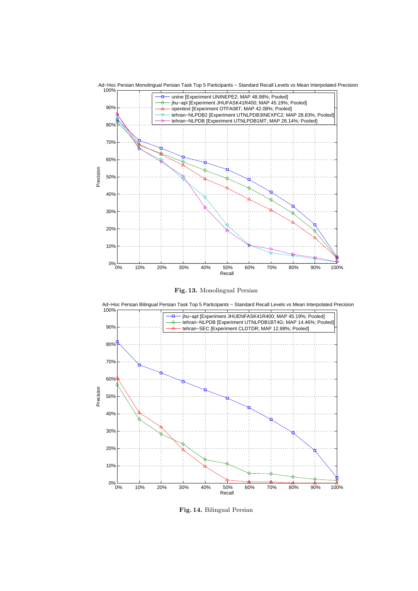





Fig. 14. Bilingual Persian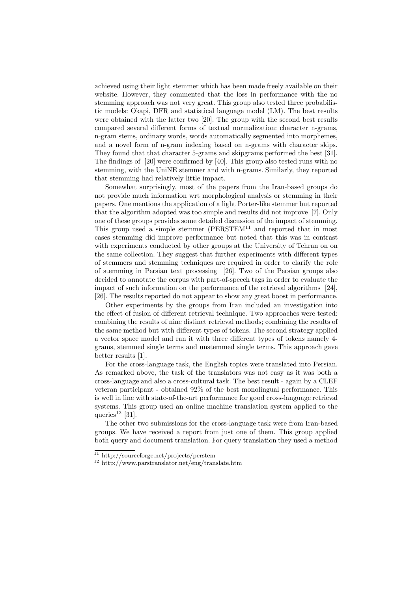achieved using their light stemmer which has been made freely available on their website. However, they commented that the loss in performance with the no stemming approach was not very great. This group also tested three probabilistic models: Okapi, DFR and statistical language model (LM). The best results were obtained with the latter two [20]. The group with the second best results compared several different forms of textual normalization: character n-grams, n-gram stems, ordinary words, words automatically segmented into morphemes, and a novel form of n-gram indexing based on n-grams with character skips. They found that that character 5-grams and skipgrams performed the best [31]. The findings of [20] were confirmed by [40]. This group also tested runs with no stemming, with the UniNE stemmer and with n-grams. Similarly, they reported that stemming had relatively little impact.

Somewhat surprisingly, most of the papers from the Iran-based groups do not provide much information wrt morphological analysis or stemming in their papers. One mentions the application of a light Porter-like stemmer but reported that the algorithm adopted was too simple and results did not improve [7]. Only one of these groups provides some detailed discussion of the impact of stemming. This group used a simple stemmer  $(PERSTEM<sup>11</sup>$  and reported that in most cases stemming did improve performance but noted that this was in contrast with experiments conducted by other groups at the University of Tehran on on the same collection. They suggest that further experiments with different types of stemmers and stemming techniques are required in order to clarify the role of stemming in Persian text processing [26]. Two of the Persian groups also decided to annotate the corpus with part-of-speech tags in order to evaluate the impact of such information on the performance of the retrieval algorithms [24], [26]. The results reported do not appear to show any great boost in performance.

Other experiments by the groups from Iran included an investigation into the effect of fusion of different retrieval technique. Two approaches were tested: combining the results of nine distinct retrieval methods; combining the results of the same method but with different types of tokens. The second strategy applied a vector space model and ran it with three different types of tokens namely 4 grams, stemmed single terms and unstemmed single terms. This approach gave better results [1].

For the cross-language task, the English topics were translated into Persian. As remarked above, the task of the translators was not easy as it was both a cross-language and also a cross-cultural task. The best result - again by a CLEF veteran participant - obtained 92% of the best monolingual performance. This is well in line with state-of-the-art performance for good cross-language retrieval systems. This group used an online machine translation system applied to the queries<sup>12</sup> [31].

The other two submissions for the cross-language task were from Iran-based groups. We have received a report from just one of them. This group applied both query and document translation. For query translation they used a method

<sup>11</sup> http://sourceforge.net/projects/perstem

 $12$  http://www.parstranslator.net/eng/translate.htm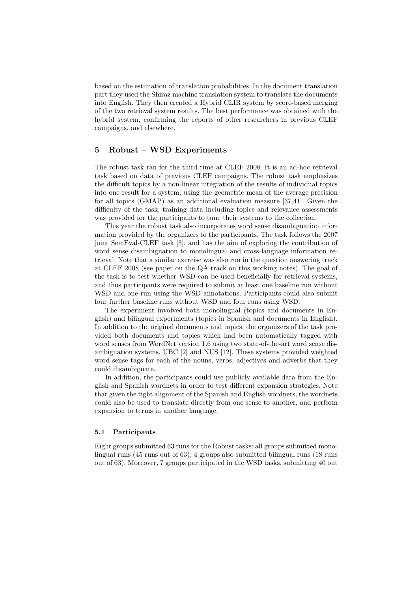based on the estimation of translation probabilities. In the document translation part they used the Shiraz machine translation system to translate the documents into English. They then created a Hybrid CLIR system by score-based merging of the two retrieval system results. The best performance was obtained with the hybrid system, confirming the reports of other researchers in previous CLEF campaigns, and elsewhere.

# 5 Robust – WSD Experiments

The robust task ran for the third time at CLEF 2008. It is an ad-hoc retrieval task based on data of previous CLEF campaigns. The robust task emphasizes the difficult topics by a non-linear integration of the results of individual topics into one result for a system, using the geometric mean of the average precision for all topics (GMAP) as an additional evaluation measure [37,41]. Given the difficulty of the task, training data including topics and relevance assessments was provided for the participants to tune their systems to the collection.

This year the robust task also incorporates word sense disambiguation information provided by the organizers to the participants. The task follows the 2007 joint SemEval-CLEF task [3], and has the aim of exploring the contribution of word sense disambiguation to monolingual and cross-language information retrieval. Note that a similar exercise was also run in the question answering track at CLEF 2008 (see paper on the QA track on this working notes). The goal of the task is to test whether WSD can be used beneficially for retrieval systems, and thus participants were required to submit at least one baseline run without WSD and one run using the WSD annotations. Participants could also submit four further baseline runs without WSD and four runs using WSD.

The experiment involved both monolingual (topics and documents in English) and bilingual experiments (topics in Spanish and documents in English). In addition to the original documents and topics, the organizers of the task provided both documents and topics which had been automatically tagged with word senses from WordNet version 1.6 using two state-of-the-art word sense disambiguation systems, UBC [2] and NUS [12]. These systems provided weighted word sense tags for each of the nouns, verbs, adjectives and adverbs that they could disambiguate.

In addition, the participants could use publicly available data from the English and Spanish wordnets in order to test different expansion strategies. Note that given the tight alignment of the Spanish and English wordnets, the wordnets could also be used to translate directly from one sense to another, and perform expansion to terms in another language.

#### 5.1 Participants

Eight groups submitted 63 runs for the Robust tasks: all groups submitted monolingual runs (45 runs out of 63); 4 groups also submitted bilingual runs (18 runs out of 63). Moreover, 7 groups participated in the WSD tasks, submitting 40 out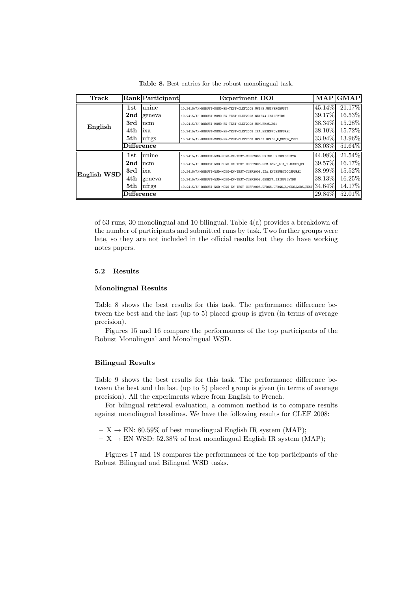| Track       |                   | Rank Participant | <b>Experiment DOI</b>                                                    | <b>MAP</b> | <b>GMAP</b> |
|-------------|-------------------|------------------|--------------------------------------------------------------------------|------------|-------------|
|             | 1st               | unine            | 10.2415/AH-ROBUST-MONO-EN-TEST-CLEF2008.UNINE.UNINEROBUST4               | 45.14\%    | 21.17%      |
| English     | 2 <sub>nd</sub>   | geneva           | 10.2415/AH-ROBUST-MONO-EN-TEST-CLEF2008.GENEVA.ISILEMTDN                 | $39.17\%$  | 16.53%      |
|             | 3rd               | ucm              | 10.2415/AH-ROBUST-MONO-EN-TEST-CLEF2008.UCM.BM25_B01                     | 38.34\%    | 15.28%      |
|             | 4th               | ixa              | 10.2415/AH-ROBUST-MONO-EN-TEST-CLEF2008.IXA.EN2ENNOWSDPSREL              | 38.10\%    | 15.72%      |
|             | 5th               | ufrgs            | 10.2415/AH-ROBUST-MONO-EN-TEST-CLEF2008.UFRGS.UFRGS_R_MONO2_TEST         | 33.94\%    | 13.96%      |
|             | <b>Difference</b> |                  |                                                                          | 33.03%     | 51.64%      |
|             | 1st               | unine            | 10.2415/AH-ROBUST-WSD-MONO-EN-TEST-CLEF2008.UNINE.UNINEROBUST6           | 44.98%     | 21.54%      |
| English WSD | 2nd               | ucm              | 10.2415/AH-ROBUST-WSD-MONO-EN-TEST-CLEF2008.UCM.BM25_B01_CLAUSES_09      | 39.57%     | 16.17%      |
|             | 3rd               | ixa              | 10.2415/AH-ROBUST-WSD-MONO-EN-TEST-CLEF2008.IXA.EN2ENUBCDOCSPSREL        | 38.99%     | 15.52%      |
|             | 4th               | geneva           | 10.2415/AH-ROBUST-WSD-MONO-EN-TEST-CLEF2008.GENEVA.ISINUSLWTDN           | 38.13\%    | 16.25%      |
|             | 5th               | ufrgs            | 10.2415/AH-ROBUST-WSD-MONO-EN-TEST-CLEF2008.UFRGS.UFRGS_R_MONO_WSD5_TEST | 34.64%     | 14.17%      |
|             | <b>Difference</b> |                  |                                                                          | 29.84\%    | 52.01%      |

Table 8. Best entries for the robust monolingual task.

of 63 runs, 30 monolingual and 10 bilingual. Table 4(a) provides a breakdown of the number of participants and submitted runs by task. Two further groups were late, so they are not included in the official results but they do have working notes papers.

## 5.2 Results

## Monolingual Results

Table 8 shows the best results for this task. The performance difference between the best and the last (up to 5) placed group is given (in terms of average precision).

Figures 15 and 16 compare the performances of the top participants of the Robust Monolingual and Monolingual WSD.

### Bilingual Results

Table 9 shows the best results for this task. The performance difference between the best and the last (up to 5) placed group is given (in terms of average precision). All the experiments where from English to French.

For bilingual retrieval evaluation, a common method is to compare results against monolingual baselines. We have the following results for CLEF 2008:

- $X \rightarrow EN: 80.59\%$  of best monolingual English IR system (MAP);
- $X \rightarrow EN$  WSD: 52.38% of best monolingual English IR system (MAP);

Figures 17 and 18 compares the performances of the top participants of the Robust Bilingual and Bilingual WSD tasks.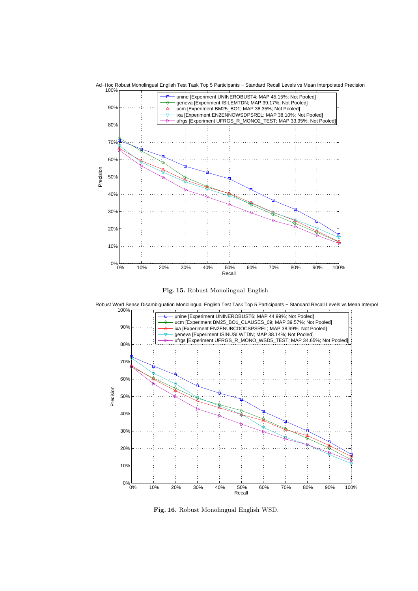







Fig. 16. Robust Monolingual English WSD.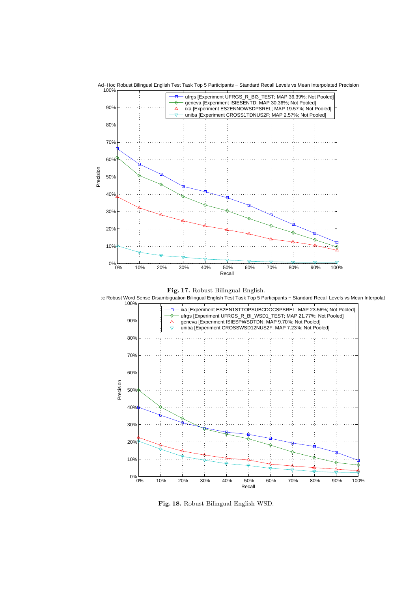

Ad−Hoc Robust Bilingual English Test Task Top 5 Participants − Standard Recall Levels vs Mean Interpolated Precision



Fig. 18. Robust Bilingual English WSD.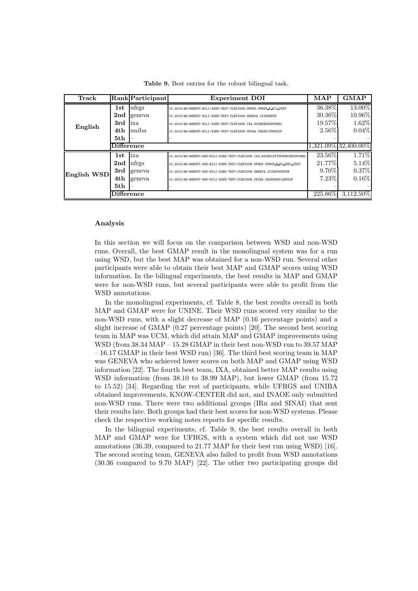| Track       |                   | Rank Participant | <b>Experiment DOI</b>                                                      | MAP      | <b>GMAP</b>          |
|-------------|-------------------|------------------|----------------------------------------------------------------------------|----------|----------------------|
|             | 1st               | ufrgs            | 10.2415/AH-ROBUST-BILI-X2EN-TEST-CLEF2008.UFRGS.UFRGS_R_BI3_TEST           | 36.38%   | 13.00%               |
|             | 2 <sub>nd</sub>   | geneva           | 10.2415/AH-ROBUST-BILI-X2EN-TEST-CLEF2008.GENEVA.ISIESENTD                 | 30.36\%  | 10.96%               |
| English     | 3rd               | ixa              | 10.2415/AH-ROBUST-BILI-X2EN-TEST-CLEF2008.IXA.ES2ENNOWSDPSREL              | 19.57%   | 1.62%                |
|             | 4th               | uniba            | 10.2415/AH-ROBUST-BILI-X2EN-TEST-CLEF2008.UNIBA.CROSS1TDNUS2F              | $2.56\%$ | $0.04\%$             |
|             | 5th               |                  |                                                                            |          |                      |
|             | Difference        |                  |                                                                            |          | 1,321.09% 32,400.00% |
|             | 1st               | ixa              | 10.2415/AH-ROBUST-WSD-BILI-X2EN-TEST-CLEF2008.IXA.ES2EN1STTOPSUBCDOCSPSREL | 23.56\%  | 1.71%                |
|             | 2 <sub>nd</sub>   | ufrgs            | 10.2415/AH-ROBUST-WSD-BILI-X2EN-TEST-CLEF2008.UFRGS.UFRGS_R_BI_WSD1_TEST   | 21.77%   | $5.14\%$             |
|             | 3rd               | geneva           | 10.2415/AH-ROBUST-WSD-BILI-X2EN-TEST-CLEF2008.GENEVA.ISIESPWSDTDN          | $9.70\%$ | $0.37\%$             |
| English WSD | 4th               | geneva           | 10.2415/AH-ROBUST-WSD-BILI-X2EN-TEST-CLEF2008.UNIBA.CROSSWSD12NUS2F        | 7.23%    | $0.16\%$             |
|             | 5th               |                  |                                                                            |          |                      |
|             | <b>Difference</b> |                  |                                                                            | 225.86%  | $3,112.50\%$         |

Table 9. Best entries for the robust bilingual task.

#### Analysis

In this section we will focus on the comparison between WSD and non-WSD runs. Overall, the best GMAP result in the monolingual system was for a run using WSD, but the best MAP was obtained for a non-WSD run. Several other participants were able to obtain their best MAP and GMAP scores using WSD information. In the bilingual experiments, the best results in MAP and GMAP were for non-WSD runs, but several participants were able to profit from the WSD annotations.

In the monolingual experiments, cf. Table 8, the best results overall in both MAP and GMAP were for UNINE. Their WSD runs scored very similar to the non-WSD runs, with a slight decrease of MAP (0.16 percentage points) and a slight increase of GMAP (0.27 percentage points) [20]. The second best scoring team in MAP was UCM, which did attain MAP and GMAP improvements using WSD (from 38.34 MAP – 15.28 GMAP in their best non-WSD run to 39.57 MAP – 16.17 GMAP in their best WSD run) [36]. The third best scoring team in MAP was GENEVA who achieved lower scores on both MAP and GMAP using WSD information [22]. The fourth best team, IXA, obtained better MAP results using WSD information (from 38.10 to 38.99 MAP), but lower GMAP (from 15.72 to 15.52) [34]. Regarding the rest of participants, while UFRGS and UNIBA obtained improvements, KNOW-CENTER did not, and INAOE only submitted non-WSD runs. There were two additional groups (IRn and SINAI) that sent their results late. Both groups had their best scores for non-WSD systems. Please check the respective working notes reports for specific results.

In the bilingual experiments, cf. Table 9, the best results overall in both MAP and GMAP were for UFRGS, with a system which did not use WSD annotations (36.39, compared to 21.77 MAP for their best run using WSD) [16]. The second scoring team, GENEVA also failed to profit from WSD annotations (30.36 compared to 9.70 MAP) [22]. The other two participating groups did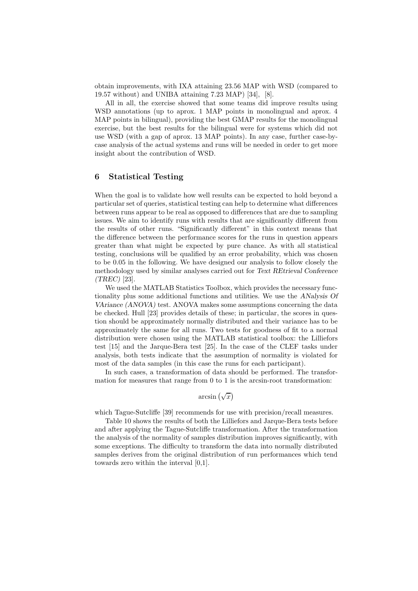obtain improvements, with IXA attaining 23.56 MAP with WSD (compared to 19.57 without) and UNIBA attaining 7.23 MAP) [34], [8].

All in all, the exercise showed that some teams did improve results using WSD annotations (up to aprox. 1 MAP points in monolingual and aprox. 4 MAP points in bilingual), providing the best GMAP results for the monolingual exercise, but the best results for the bilingual were for systems which did not use WSD (with a gap of aprox. 13 MAP points). In any case, further case-bycase analysis of the actual systems and runs will be needed in order to get more insight about the contribution of WSD.

## 6 Statistical Testing

When the goal is to validate how well results can be expected to hold beyond a particular set of queries, statistical testing can help to determine what differences between runs appear to be real as opposed to differences that are due to sampling issues. We aim to identify runs with results that are significantly different from the results of other runs. "Significantly different" in this context means that the difference between the performance scores for the runs in question appears greater than what might be expected by pure chance. As with all statistical testing, conclusions will be qualified by an error probability, which was chosen to be 0.05 in the following. We have designed our analysis to follow closely the methodology used by similar analyses carried out for Text REtrieval Conference (TREC) [23].

We used the MATLAB Statistics Toolbox, which provides the necessary functionality plus some additional functions and utilities. We use the ANalysis Of VAriance (ANOVA) test. ANOVA makes some assumptions concerning the data be checked. Hull [23] provides details of these; in particular, the scores in question should be approximately normally distributed and their variance has to be approximately the same for all runs. Two tests for goodness of fit to a normal distribution were chosen using the MATLAB statistical toolbox: the Lilliefors test [15] and the Jarque-Bera test [25]. In the case of the CLEF tasks under analysis, both tests indicate that the assumption of normality is violated for most of the data samples (in this case the runs for each participant).

In such cases, a transformation of data should be performed. The transformation for measures that range from 0 to 1 is the arcsin-root transformation:

arcsin  $(\sqrt{x})$ 

which Tague-Sutcliffe [39] recommends for use with precision/recall measures.

Table 10 shows the results of both the Lilliefors and Jarque-Bera tests before and after applying the Tague-Sutcliffe transformation. After the transformation the analysis of the normality of samples distribution improves significantly, with some exceptions. The difficulty to transform the data into normally distributed samples derives from the original distribution of run performances which tend towards zero within the interval [0,1].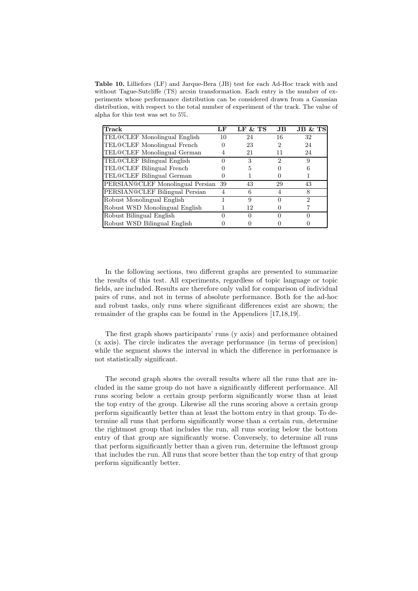Table 10. Lilliefors (LF) and Jarque-Bera (JB) test for each Ad-Hoc track with and without Tague-Sutcliffe (TS) arcsin transformation. Each entry is the number of experiments whose performance distribution can be considered drawn from a Gaussian distribution, with respect to the total number of experiment of the track. The value of alpha for this test was set to 5%.

| Track                            | LF | LF & TS | JB | JB & TS      |
|----------------------------------|----|---------|----|--------------|
| TEL@CLEF Monolingual English     | 10 | 24      | 16 | 32           |
| TEL@CLEF Monolingual French      |    | 23      | 2  | 24           |
| TEL@CLEF Monolingual German      |    | 21      | 11 | 24           |
| TEL@CLEF Bilingual English       |    | 3       |    | 9            |
| TEL@CLEF Bilingual French        |    | 5       |    | 6            |
| TEL@CLEF Bilingual German        |    |         |    |              |
| PERSIAN@CLEF Monolingual Persian | 39 | 43      | 29 | 43           |
| PERSIAN@CLEF Bilingual Persian   | 4  | 6       |    | 8            |
| Robust Monolingual English       |    | 9       |    | 2            |
| Robust WSD Monolingual English   |    | 12      |    |              |
| Robust Bilingual English         |    |         |    | $\mathbf{0}$ |
| Robust WSD Bilingual English     |    |         |    |              |

In the following sections, two different graphs are presented to summarize the results of this test. All experiments, regardless of topic language or topic fields, are included. Results are therefore only valid for comparison of individual pairs of runs, and not in terms of absolute performance. Both for the ad-hoc and robust tasks, only runs where significant differences exist are shown; the remainder of the graphs can be found in the Appendices [17,18,19].

The first graph shows participants' runs (y axis) and performance obtained (x axis). The circle indicates the average performance (in terms of precision) while the segment shows the interval in which the difference in performance is not statistically significant.

The second graph shows the overall results where all the runs that are included in the same group do not have a significantly different performance. All runs scoring below a certain group perform significantly worse than at least the top entry of the group. Likewise all the runs scoring above a certain group perform significantly better than at least the bottom entry in that group. To determine all runs that perform significantly worse than a certain run, determine the rightmost group that includes the run, all runs scoring below the bottom entry of that group are significantly worse. Conversely, to determine all runs that perform significantly better than a given run, determine the leftmost group that includes the run. All runs that score better than the top entry of that group perform significantly better.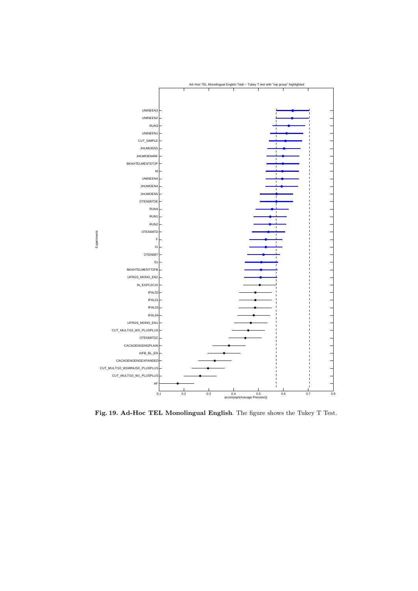

Fig. 19. Ad-Hoc TEL Monolingual English. The figure shows the Tukey T Test.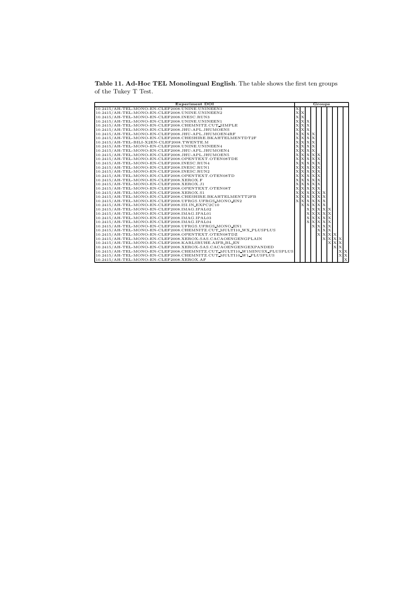Table 11. Ad-Hoc TEL Monolingual English. The table shows the first ten groups of the Tukey T Test.

| <b>Experiment DOI</b>                                                  |                         |                | Groups           |                |         |             |
|------------------------------------------------------------------------|-------------------------|----------------|------------------|----------------|---------|-------------|
| 10.2415/AH-TEL-MONO-EN-CLEF2008.UNINE.UNINEEN3                         | х                       |                |                  |                |         |             |
| 10.2415/AH-TEL-MONO-EN-CLEF2008.UNINE.UNINEEN2                         | $\mathbf{X} \mathbf{X}$ |                |                  |                |         |             |
| 10.2415/AH-TEL-MONO-EN-CLEF2008.INESC.RUN3                             | x x                     |                |                  |                |         |             |
| 10.2415/AH-TEL-MONO-EN-CLEF2008.UNINE.UNINEEN1                         | <b>x x</b>              |                |                  |                |         |             |
| 10.2415/AH-TEL-MONO-EN-CLEF2008.CHEMNITZ.CUT_SIMPLE                    | <b>x x</b>              |                |                  |                |         |             |
| 10.2415/AH-TEL-MONO-EN-CLEF2008.JHU-APL.JHUMOENS                       | $X$ $X$ $X$             |                |                  |                |         |             |
| 10.2415/AH-TEL-MONO-EN-CLEF2008.JHU-APL.JHUMOEN4RF                     | <b>x x x</b>            |                |                  |                |         |             |
| 10.2415/AH-TEL-MONO-EN-CLEF2008.CHESHIRE.BKAHTELMENTDT2F               | $\mathbf x$             | $X$ $X$ $X$    |                  |                |         |             |
| 10.2415/AH-TEL-BILI-X2EN-CLEF2008.TWENTE.M                             | $\bf{x}$                | $X$ $X$ $X$    |                  |                |         |             |
| 10.2415/AH-TEL-MONO-EN-CLEF2008.UNINE.UNINEEN4                         | $\bf{x}$                | $X$ $X$ $X$    |                  |                |         |             |
| 10.2415/AH-TEL-MONO-EN-CLEF2008.JHU-APL.JHUMOEN4                       | $\bf{x}$                | $X$ $X$ $X$    |                  |                |         |             |
| 10.2415/AH-TEL-MONO-EN-CLEF2008.JHU-APL.JHUMOEN5                       | $\bf{x}$                | <b>x</b> x x   |                  |                |         |             |
| 10.2415/AH-TEL-MONO-EN-CLEF2008.OPENTEXT.OTEN08TDE                     | $\bf{x}$                | <b>x</b> x x   |                  |                |         |             |
| 10.2415/AH-TEL-MONO-EN-CLEF2008.INESC.RUN4                             | $\bf{x}$                | <b>x x x</b>   |                  |                |         |             |
| 10.2415/AH-TEL-MONO-EN-CLEF2008.INESC.RUN1                             | $\mathbf x$             | <b>x x x</b>   |                  |                |         |             |
| 10.2415/AH-TEL-MONO-EN-CLEF2008.INESC.RUN2                             | $\mathbf x$             | <b>x x x</b>   |                  |                |         |             |
| 10.2415/AH-TEL-MONO-EN-CLEF2008.OPENTEXT.OTEN08TD                      | $\mathbf x$             | <b>x x x</b>   |                  |                |         |             |
| 10.2415/AH-TEL-MONO-EN-CLEF2008.XEROX.F                                | X                       | <b>x x x</b>   |                  |                |         |             |
| 10.2415/AH-TEL-MONO-EN-CLEF2008.XEROX.J1                               | X                       | <b>x x x</b>   |                  |                |         |             |
| 10.2415/AH-TEL-MONO-EN-CLEF2008.OPENTEXT.OTEN08T                       | $\mathbf x$             | <b>x x x</b>   |                  |                |         |             |
| 10.2415/AH-TEL-MONO-EN-CLEF2008.XEROX.S1                               | $\mathbf x$             | <b>x x x x</b> |                  |                |         |             |
| 10.2415/AH-TEL-MONO-EN-CLEF2008.CHESHIRE.BKAHTELMENTT2FB               | $\mathbf x$             | <b>x x x x</b> |                  |                |         |             |
| 10.2415/AH-TEL-MONO-EN-CLEF2008.UFRGS.UFRGS_MONO_EN2                   | $\mathbf{x}$            | <b>x x x x</b> |                  |                |         |             |
| 10.2415/AH-TEL-MONO-EN-CLEF2008.ISI.IN_EXPC2C10                        |                         | <b>x x x x</b> |                  |                |         |             |
| 10.2415/AH-TEL-MONO-EN-CLEF2008.IMAG.IPAL02                            |                         |                | <b>x x x x x</b> |                |         |             |
| 10.2415/AH-TEL-MONO-EN-CLEF2008.IMAG.IPAL01                            |                         | $\mathbf x$    | <b>x x x</b>     |                |         |             |
| 10.2415/AH-TEL-MONO-EN-CLEF2008.IMAG.IPAL03                            |                         | $\mathbf x$    | <b>x</b> x x     |                |         |             |
| 10.2415/AH-TEL-MONO-EN-CLEF2008.IMAG.IPAL04                            |                         |                | <b>x x x x</b>   |                |         |             |
| 10.2415/AH-TEL-MONO-EN-CLEF2008.UFRGS.UFRGS_MONO_EN1                   |                         |                | <b>x x x</b>     |                |         |             |
| 10.2415/AH-TEL-MONO-EN-CLEF2008.CHEMNITZ.CUT_MULTI10_WX_PLUSPLUS       |                         |                | <b>XXX</b>       |                |         |             |
| 10.2415/AH-TEL-MONO-EN-CLEF2008.OPENTEXT.OTEN08TDZ                     |                         |                |                  | <b>X X X X</b> |         |             |
| 10.2415/AH-TEL-MONO-EN-CLEF2008.XEROX-SAS.CACAOENGENGPLAIN             |                         |                |                  | <b>x x x</b>   |         |             |
| 10.2415/AH-TEL-MONO-EN-CLEF2008.KARLSRUHE.AIFB_BL_EN                   |                         |                |                  | <b>XXX</b>     |         |             |
| 10.2415/AH-TEL-MONO-EN-CLEF2008.XEROX-SAS.CACAOENGENGEXPANDED          |                         |                |                  |                | $X$ $X$ |             |
| 10.2415/AH-TEL-MONO-EN-CLEF2008.CHEMNITZ.CUT_MULTI10_W1MINUSX_PLUSPLUS |                         |                |                  |                |         | X X         |
| 10.2415/AH-TEL-MONO-EN-CLEF2008.CHEMNITZ.CUT_MULTI10_W1_PLUSPLUS       |                         |                |                  |                |         | x x         |
| $10.2415/AH$ -TEL-MONO-EN-CLEF2008.XEROX.AF                            |                         |                |                  |                |         | $\mathbf x$ |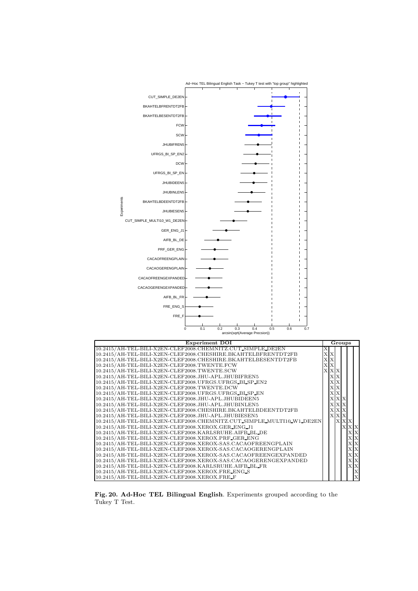

Fig. 20. Ad-Hoc TEL Bilingual English. Experiments grouped according to the Tukey T Test.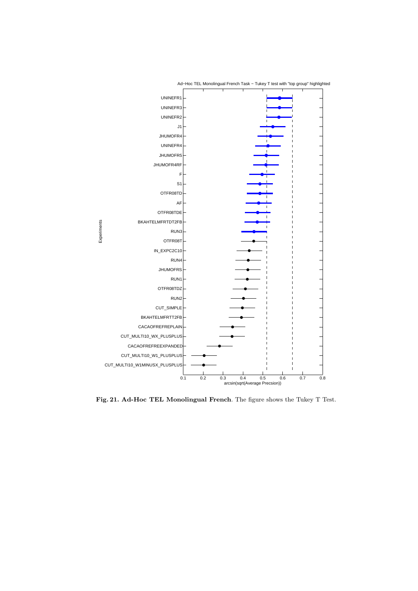

Fig. 21. Ad-Hoc TEL Monolingual French. The figure shows the Tukey T Test.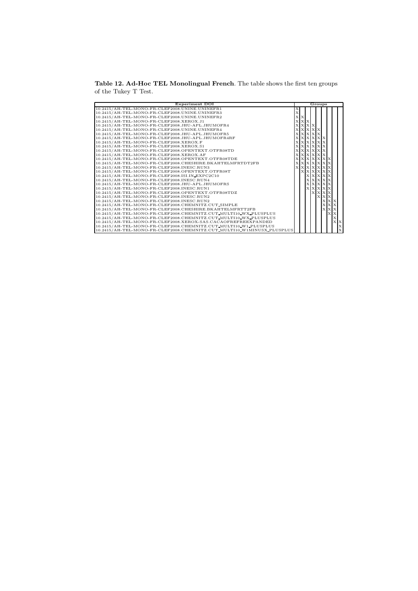Table 12. Ad-Hoc TEL Monolingual French. The table shows the first ten groups of the Tukey T Test.

| <b>Experiment DOI</b>                                                  |  |             |                  |          | Groups              |            |   |             |
|------------------------------------------------------------------------|--|-------------|------------------|----------|---------------------|------------|---|-------------|
| 10.2415/AH-TEL-MONO-FR-CLEF2008.UNINE.UNINEFR1                         |  |             |                  |          |                     |            |   |             |
| 10.2415/AH-TEL-MONO-FR-CLEF2008.UNINE.UNINEFR3                         |  |             |                  |          |                     |            |   |             |
| 10.2415/AH-TEL-MONO-FR-CLEF2008.UNINE.UNINEFR2                         |  | ΙX          |                  |          |                     |            |   |             |
| 10.2415/AH-TEL-MONO-FR-CLEF2008.XEROX.J1                               |  | $X$ $X$     |                  |          |                     |            |   |             |
| 10.2415/AH-TEL-MONO-FR-CLEF2008.JHU-APL.JHUMOFR4                       |  | $X$ $X$ $X$ |                  |          |                     |            |   |             |
| 10.2415/AH-TEL-MONO-FR-CLEF2008.UNINE.UNINEFR4                         |  |             | <b>XXXX</b>      |          |                     |            |   |             |
| 10.2415/AH-TEL-MONO-FR-CLEF2008.JHU-APL.JHUMOFR5                       |  |             | <b>x x x</b>     | $\bf{x}$ |                     |            |   |             |
| 10.2415/AH-TEL-MONO-FR-CLEF2008.JHU-APL.JHUMOFR4RF                     |  |             | <b>XXXXXX</b>    |          |                     |            |   |             |
| 10.2415/AH-TEL-MONO-FR-CLEF2008.XEROX.F                                |  |             | <b>XXXXX</b>     |          |                     |            |   |             |
| 10.2415/AH-TEL-MONO-FR-CLEF2008.XEROX.S1                               |  |             | <b>XXXXX</b>     |          |                     |            |   |             |
| 10.2415/AH-TEL-MONO-FR-CLEF2008.OPENTEXT.OTFR08TD                      |  |             | <b>XXXXX</b>     |          |                     |            |   |             |
| 10.2415/AH-TEL-MONO-FR-CLEF2008.XEROX.AF                               |  |             | <b>x x x x x</b> |          |                     |            |   |             |
| 10.2415/AH-TEL-MONO-FR-CLEF2008.OPENTEXT.OTFR08TDE                     |  |             |                  |          | $X$ $X$ $X$ $X$ $X$ |            |   |             |
| 10.2415/AH-TEL-MONO-FR-CLEF2008.CHESHIRE.BKAHTELMFRTDT2FB              |  |             |                  |          | <b>x x x x x</b>    |            |   |             |
| 10.2415/AH-TEL-MONO-FR-CLEF2008.INESC.RUN3                             |  |             |                  |          | X X X X X X X       |            |   |             |
| 10.2415/AH-TEL-MONO-FR-CLEF2008.OPENTEXT.OTFR08T                       |  |             |                  |          | <b>x x x x x</b>    |            |   |             |
| 10.2415/AH-TEL-MONO-FR-CLEF2008.ISI.IN EXPC2C10                        |  |             |                  |          | <b>XXXXXX</b>       |            |   |             |
| 10.2415/AH-TEL-MONO-FR-CLEF2008.INESC.RUN4                             |  |             |                  |          | <b>x x x x x</b>    |            |   |             |
| 10.2415/AH-TEL-MONO-FR-CLEF2008.JHU-APL.JHUMOFRS                       |  |             |                  |          | <b>x x x x x</b>    |            |   |             |
| 10.2415/AH-TEL-MONO-FR-CLEF2008.INESC.RUN1                             |  |             |                  |          | <b>XXXXX</b>        |            |   |             |
| 10.2415/AH-TEL-MONO-FR-CLEF2008.OPENTEXT.OTFR08TDZ                     |  |             |                  |          | <b>XXXX</b>         |            |   |             |
| 10.2415/AH-TEL-MONO-FR-CLEF2008.INESC.RUN2                             |  |             |                  |          | <b>XXX</b>          |            |   |             |
| 10.2415/AH-TEL-MONO-FR-CLEF2008.INESC.RUN2                             |  |             |                  |          |                     | <b>XXX</b> |   |             |
| 10.2415/AH-TEL-MONO-FR-CLEF2008.CHEMNITZ.CUT_SIMPLE                    |  |             |                  |          |                     | <b>XXX</b> |   |             |
| 10.2415/AH-TEL-MONO-FR-CLEF2008.CHESHIRE.BKAHTELMFRTT2FB               |  |             |                  |          |                     | <b>XXX</b> |   |             |
| 10.2415/AH-TEL-MONO-FR-CLEF2008.CHEMNITZ.CUT_MULTI10_WX_PLUSPLUS       |  |             |                  |          |                     | $X$ $X$    |   |             |
| 10.2415/AH-TEL-MONO-FR-CLEF2008.CHEMNITZ.CUT_MULTI10_WX_PLUSPLUS       |  |             |                  |          |                     |            | х |             |
| 10.2415/AH-TEL-MONO-FR-CLEF2008.XEROX-SAS.CACAOFREFREEXPANDED          |  |             |                  |          |                     |            |   | $X$ $X$     |
| 10.2415/AH-TEL-MONO-FR-CLEF2008.CHEMNITZ.CUT_MULTI10_W1_PLUSPLUS       |  |             |                  |          |                     |            |   | $\mathbf x$ |
| 10.2415/AH-TEL-MONO-FR-CLEF2008.CHEMNITZ.CUT_MULTI10_W1MINUSX_PLUSPLUS |  |             |                  |          |                     |            |   | X           |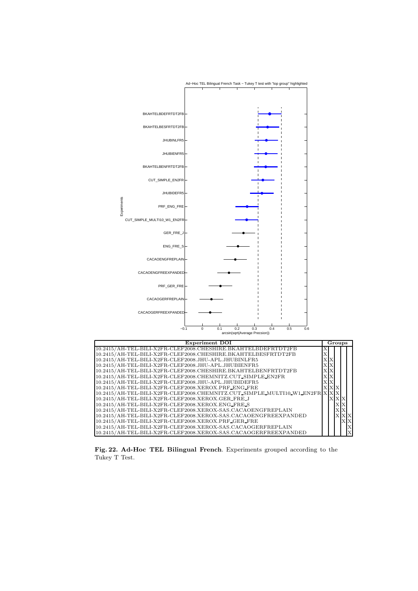

Fig. 22. Ad-Hoc TEL Bilingual French. Experiments grouped according to the Tukey T Test.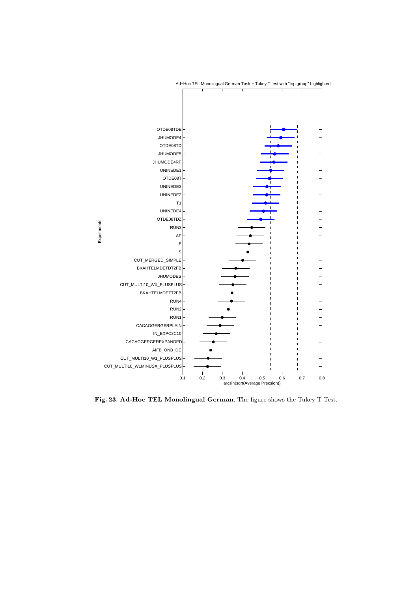

Ad−Hoc TEL Monolingual German Task − Tukey T test with "top group" highlighted

Fig. 23. Ad-Hoc TEL Monolingual German. The figure shows the Tukey T Test.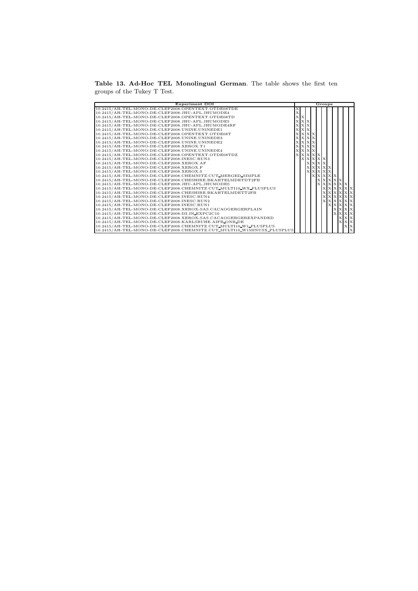Table 13. Ad-Hoc TEL Monolingual German. The table shows the first ten groups of the Tukey T Test.

| <b>Experiment DOI</b>                                                  | Groups |                |         |              |  |                  |              |              |             |                  |
|------------------------------------------------------------------------|--------|----------------|---------|--------------|--|------------------|--------------|--------------|-------------|------------------|
| 10.2415/AH-TEL-MONO-DE-CLEF2008.OPENTEXT.OTDE08TDE                     |        |                |         |              |  |                  |              |              |             |                  |
| 10.2415/AH-TEL-MONO-DE-CLEF2008.JHU-APL.JHUMODE4                       |        |                |         |              |  |                  |              |              |             |                  |
| 10.2415/AH-TEL-MONO-DE-CLEF2008.OPENTEXT.OTDE08TD                      |        | ХX             |         |              |  |                  |              |              |             |                  |
| 10.2415/AH-TEL-MONO-DE-CLEF2008.JHU-APL.JHUMODE5                       |        | <b>x x</b>     |         |              |  |                  |              |              |             |                  |
| 10.2415/AH-TEL-MONO-DE-CLEF2008.JHU-APL.JHUMODE4RF                     |        | <b>x x</b>     |         |              |  |                  |              |              |             |                  |
| 10.2415/AH-TEL-MONO-DE-CLEF2008.UNINE.UNINEDE1                         |        | <b>x</b> X X   |         |              |  |                  |              |              |             |                  |
| 10.2415/AH-TEL-MONO-DE-CLEF2008.OPENTEXT.OTDE08T                       |        | $\mathbf{x}$   | $X$ $X$ |              |  |                  |              |              |             |                  |
| 10.2415/AH-TEL-MONO-DE-CLEF2008.UNINE.UNINEDE3                         |        | <b>x x x x</b> |         |              |  |                  |              |              |             |                  |
| 10.2415/AH-TEL-MONO-DE-CLEF2008.UNINE.UNINEDE2                         |        | <b>x x x</b>   |         |              |  |                  |              |              |             |                  |
| 10.2415/AH-TEL-MONO-DE-CLEF2008.XEROX.T1                               |        | <b>XXXX</b>    |         |              |  |                  |              |              |             |                  |
| 10.2415/AH-TEL-MONO-DE-CLEF2008.UNINE.UNINEDE4                         |        | <b>x x x</b>   |         |              |  |                  |              |              |             |                  |
| 10.2415/AH-TEL-MONO-DE-CLEF2008.OPENTEXT.OTDE08TDZ                     |        | X X            |         | $X$ $X$ $X$  |  |                  |              |              |             |                  |
| 10.2415/AH-TEL-MONO-DE-CLEF2008.INESC.RUN3                             |        |                |         | <b>XXXXX</b> |  |                  |              |              |             |                  |
| 10.2415/AH-TEL-MONO-DE-CLEF2008.XEROX.AF                               |        |                |         | <b>XXXX</b>  |  |                  |              |              |             |                  |
| 10.2415/AH-TEL-MONO-DE-CLEF2008.XEROX.F                                |        |                |         |              |  | <b>XXXXXX</b>    |              |              |             |                  |
| 10.2415/AH-TEL-MONO-DE-CLEF2008.XEROX.S                                |        |                |         |              |  | <b>X X X X X</b> |              |              |             |                  |
| 10.2415/AH-TEL-MONO-DE-CLEF2008.CHEMNITZ.CUT_MERGED_SIMPLE             |        |                |         |              |  |                  | <b>XXXXX</b> |              |             |                  |
| 10.2415/AH-TEL-MONO-DE-CLEF2008.CHESHIRE.BKAHTELMDETDT2FB              |        |                |         |              |  |                  |              | <b>XXXXX</b> |             |                  |
| 10.2415/AH-TEL-MONO-DE-CLEF2008.JHU-APL.JHUMODES                       |        |                |         |              |  |                  |              |              | X X X X X X |                  |
| 10.2415/AH-TEL-MONO-DE-CLEF2008.CHEMNITZ.CUT_MULTI10_WX_PLUSPLUS       |        |                |         |              |  |                  |              |              |             | <b>x x x x x</b> |
| 10.2415/AH-TEL-MONO-DE-CLEF2008.CHESHIRE.BKAHTELMDETT2FB               |        |                |         |              |  |                  |              |              |             | <b>XXXXX</b>     |
| 10.2415/AH-TEL-MONO-DE-CLEF2008.INESC.RUN4                             |        |                |         |              |  | $\mathbf{x}$     |              |              |             | <b>XXXXX</b>     |
| 10.2415/AH-TEL-MONO-DE-CLEF2008.INESC.RUN2                             |        |                |         |              |  |                  |              |              |             | <b>x x x x x</b> |
| 10.2415/AH-TEL-MONO-DE-CLEF2008.INESC.RUN1                             |        |                |         |              |  |                  |              |              |             | <b>XXXXX</b>     |
| 10.2415/AH-TEL-MONO-DE-CLEF2008.XEROX-SAS.CACAOGERGERPLAIN             |        |                |         |              |  |                  |              |              |             | <b>x x x</b>     |
| 10.2415/AH-TEL-MONO-DE-CLEF2008.ISI.IN_EXPC2C10                        |        |                |         |              |  |                  |              |              |             | <b>x x x</b>     |
| 10.2415/AH-TEL-MONO-DE-CLEF2008.XEROX-SAS.CACAOGERGEREXPANDED          |        |                |         |              |  |                  |              |              |             | <b>XXX</b>       |
| 10.2415/AH-TEL-MONO-DE-CLEF2008.KARLSRUHE.AIFB_ONB_DE                  |        |                |         |              |  |                  |              |              |             | $X$ $X$          |
| 10.2415/AH-TEL-MONO-DE-CLEF2008.CHEMNITZ.CUT_MULTI10_W1_PLUSPLUS       |        |                |         |              |  |                  |              |              |             | $X$ $X$          |
| 10.2415/AH-TEL-MONO-DE-CLEF2008.CHEMNITZ.CUT_MULTI10_W1MINUSX_PLUSPLUS |        |                |         |              |  |                  |              |              |             |                  |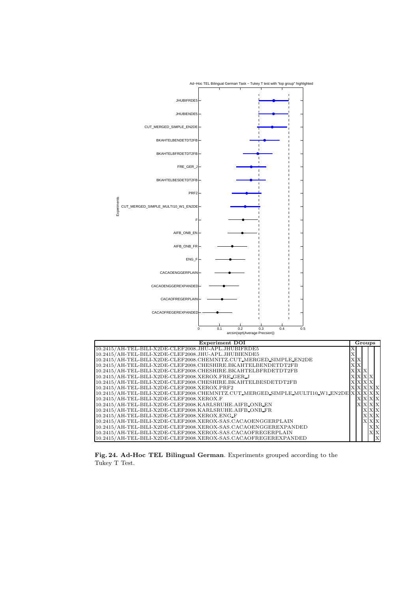

Fig. 24. Ad-Hoc TEL Bilingual German. Experiments grouped according to the Tukey T Test.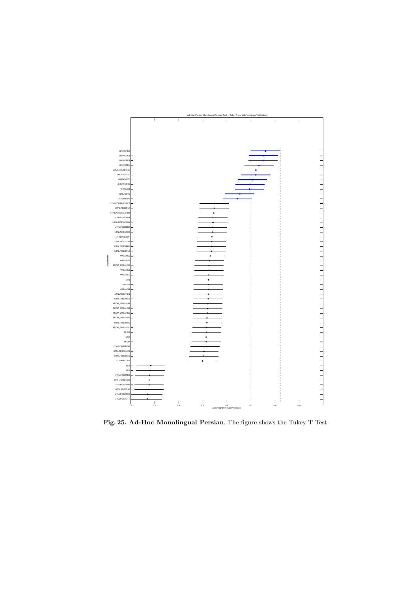

Fig. 25. Ad-Hoc Monolingual Persian. The figure shows the Tukey T Test.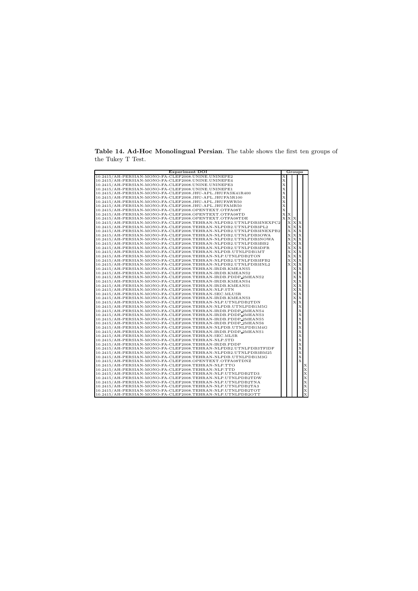Table 14. Ad-Hoc Monolingual Persian. The table shows the first ten groups of the Tukey T Test.

| <b>Experiment DOI</b>                                             |   | Groups       |              |             |   |
|-------------------------------------------------------------------|---|--------------|--------------|-------------|---|
| 10.2415/AH-PERSIAN-MONO-FA-CLEF2008.UNINE.UNINEPE2                |   |              |              |             |   |
| 10.2415/AH-PERSIAN-MONO-FA-CLEF2008.UNINE.UNINEPE4                | Х |              |              |             |   |
| 10.2415/AH-PERSIAN-MONO-FA-CLEF2008.UNINE.UNINEPE3                | Х |              |              |             |   |
| 10.2415/AH-PERSIAN-MONO-FA-CLEF2008.UNINE.UNINEPE1                | X |              |              |             |   |
| 10.2415/AH-PERSIAN-MONO-FA-CLEF2008.JHU-APL.JHUFASK41R400         | Х |              |              |             |   |
| 10.2415/AH-PERSIAN-MONO-FA-CLEF2008.JHU-APL.JHUFA5R100            | Х |              |              |             |   |
| 10.2415/AH-PERSIAN-MONO-FA-CLEF2008.JHU-APL.JHUFAWR50             | Х |              |              |             |   |
| 10.2415/AH-PERSIAN-MONO-FA-CLEF2008.JHU-APL.JHUFAMR50             | X |              |              |             |   |
| 10.2415/AH-PERSIAN-MONO-FA-CLEF2008.OPENTEXT.OTFA08T              | Х |              |              |             |   |
| 10.2415/AH-PERSIAN-MONO-FA-CLEF2008.OPENTEXT.OTFA08TD             | X | х            |              |             |   |
| 10.2415/AH-PERSIAN-MONO-FA-CLEF2008.OPENTEXT.OTFA08TDE            | X | X X          |              |             |   |
| 10.2415/AH-PERSIAN-MONO-FA-CLEF2008.TEHRAN-NLPDB2.UTNLPDB3INEXPC2 |   |              | <b>x x x</b> |             |   |
| 10.2415/AH-PERSIAN-MONO-FA-CLEF2008.TEHRAN-NLPDB2.UTNLPDB3PL2     |   | х            | X X          |             |   |
| 10.2415/AH-PERSIAN-MONO-FA-CLEF2008.TEHRAN-NLPDB2.UTNLPDB3INEXPB2 |   | X            | <b>x</b> x   |             |   |
| 10.2415/AH-PERSIAN-MONO-FA-CLEF2008.TEHRAN-NLPDB2.UTNLPDB3OWA     |   | Х            | X X          |             |   |
| 10.2415/AH-PERSIAN-MONO-FA-CLEF2008.TEHRAN-NLPDB2.UTNLPDB3NOWA    |   | Х            | X X          |             |   |
| 10.2415/AH-PERSIAN-MONO-FA-CLEF2008.TEHRAN-NLPDB2.UTNLPDB3BB2     |   | X            | $X$ $X$      |             |   |
|                                                                   |   | X            | X            | $\bf{x}$    |   |
| 10.2415/AH-PERSIAN-MONO-FA-CLEF2008.TEHRAN-NLPDB2.UTNLPDB3DFR     |   |              |              |             |   |
| 10.2415/AH-PERSIAN-MONO-FA-CLEF2008.TEHRAN-NLPDB.UTNLPDB1MT       |   | X            | $X$ $X$      |             |   |
| 10.2415/AH-PERSIAN-MONO-FA-CLEF2008.TEHRAN-NLP.UTNLPDB2TON        |   | х            | X X          |             |   |
| 10.2415/AH-PERSIAN-MONO-FA-CLEF2008.TEHRAN-NLPDB2.UTNLPDB3IFB2    |   | X            | $X$ $X$      |             |   |
| 10.2415/AH-PERSIAN-MONO-FA-CLEF2008.TEHRAN-NLPDB2.UTNLPDB3INL2    |   | $\mathbf{x}$ | x x          |             |   |
| 10.2415/AH-PERSIAN-MONO-FA-CLEF2008.TEHRAN-IRDB.KMEANS5           |   |              | xlx          |             |   |
| 10.2415/AH-PERSIAN-MONO-FA-CLEF2008.TEHRAN-IRDB.KMEANS2           |   |              | хlх          |             |   |
| 10.2415/AH-PERSIAN-MONO-FA-CLEF2008.TEHRAN-IRDB.PDDP_2MEANS2      |   |              | Х            | X           |   |
| 10.2415/AH-PERSIAN-MONO-FA-CLEF2008.TEHRAN-IRDB.KMEANS4           |   |              | X            | Х           |   |
| 10.2415/AH-PERSIAN-MONO-FA-CLEF2008.TEHRAN-IRDB.KMEANS1           |   |              | Х            | X           |   |
| 10.2415/AH-PERSIAN-MONO-FA-CLEF2008.TEHRAN-NLP.STN                |   |              | Х            | $\mathbf x$ |   |
| 10.2415/AH-PERSIAN-MONO-FA-CLEF2008.TEHRAN-SEC.MLUSR              |   |              | Х            | Х           |   |
| 10.2415/AH-PERSIAN-MONO-FA-CLEF2008.TEHRAN-IRDB.KMEANS3           |   |              | X            | X           |   |
| 10.2415/AH-PERSIAN-MONO-FA-CLEF2008.TEHRAN-NLP.UTNLPDB2TDN        |   |              | X            | $\bf{x}$    |   |
| 10.2415/AH-PERSIAN-MONO-FA-CLEF2008.TEHRAN-NLPDB.UTNLPDB1M5G      |   |              |              | Х           |   |
| 10.2415/AH-PERSIAN-MONO-FA-CLEF2008.TEHRAN-IRDB.PDDP_2MEANS4      |   |              |              | X           |   |
| 10.2415/AH-PERSIAN-MONO-FA-CLEF2008.TEHRAN-IRDB.PDDP_2MEANS3      |   |              |              | Х           |   |
| 10.2415/AH-PERSIAN-MONO-FA-CLEF2008.TEHRAN-IRDB.PDDP_2MEANS5      |   |              |              | Х           |   |
| 10.2415/AH-PERSIAN-MONO-FA-CLEF2008.TEHRAN-IRDB.PDDP_2MEANS6      |   |              |              | Х           |   |
| 10.2415/AH-PERSIAN-MONO-FA-CLEF2008.TEHRAN-NLPDB.UTNLPDB1M4G      |   |              |              | X           |   |
| 10.2415/AH-PERSIAN-MONO-FA-CLEF2008.TEHRAN-IRDB.PDDP_2MEANS1      |   |              |              | х           |   |
| 10.2415/AH-PERSIAN-MONO-FA-CLEF2008.TEHRAN-SEC.MLSR               |   |              |              | X           |   |
| 10.2415/AH-PERSIAN-MONO-FA-CLEF2008.TEHRAN-NLP.STD                |   |              |              | Х           |   |
| 10.2415/AH-PERSIAN-MONO-FA-CLEF2008.TEHRAN-IRDB.PDDP              |   |              |              | х           |   |
| 10.2415/AH-PERSIAN-MONO-FA-CLEF2008.TEHRAN-NLPDB2.UTNLPDB3TFIDF   |   |              |              | X           |   |
| 10.2415/AH-PERSIAN-MONO-FA-CLEF2008.TEHRAN-NLPDB2.UTNLPDB3BM25    |   |              |              | X           |   |
| 10.2415/AH-PERSIAN-MONO-FA-CLEF2008.TEHRAN-NLPDB.UTNLPDB1M3G      |   |              |              | Х           |   |
| 10.2415/AH-PERSIAN-MONO-FA-CLEF2008.OPENTEXT.OTFA08TDNZ           |   |              |              | X           |   |
| 10.2415/AH-PERSIAN-MONO-FA-CLEF2008.TEHRAN-NLP.TTO                |   |              |              |             | х |
| 10.2415/AH-PERSIAN-MONO-FA-CLEF2008.TEHRAN-NLP.TTD                |   |              |              |             | Х |
| 10.2415/AH-PERSIAN-MONO-FA-CLEF2008.TEHRAN-NLP.UTNLPDB2TD3        |   |              |              |             | Х |
| 10.2415/AH-PERSIAN-MONO-FA-CLEF2008.TEHRAN-NLP.UTNLPDB2TDW        |   |              |              |             | Х |
|                                                                   |   |              |              |             |   |
| 10.2415/AH-PERSIAN-MONO-FA-CLEF2008.TEHRAN-NLP.UTNLPDB2TNA        |   |              |              |             | х |
| 10.2415/AH-PERSIAN-MONO-FA-CLEF2008.TEHRAN-NLP.UTNLPDB2TA3        |   |              |              |             | Х |
| 10.2415/AH-PERSIAN-MONO-FA-CLEF2008.TEHRAN-NLP.UTNLPDB2TOT        |   |              |              |             | х |
| 10.2415/AH-PERSIAN-MONO-FA-CLEF2008.TEHRAN-NLP.UTNLPDB2OTT        |   |              |              |             | Х |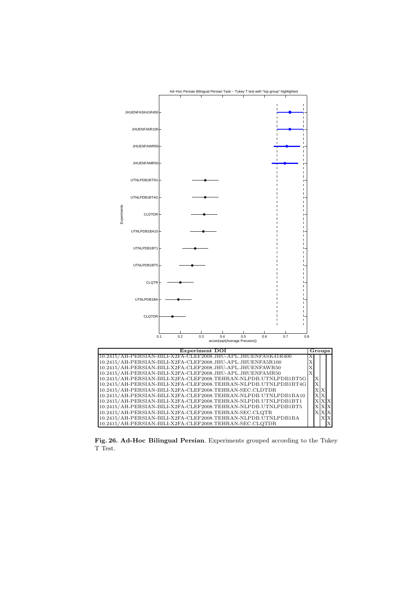

Fig. 26. Ad-Hoc Bilingual Persian. Experiments grouped according to the Tukey T Test.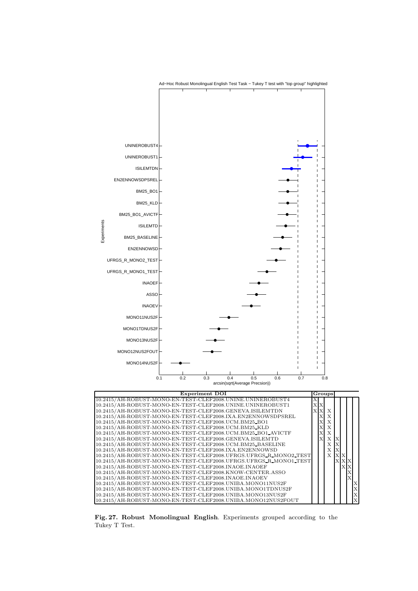

Fig. 27. Robust Monolingual English. Experiments grouped according to the Tukey T Test.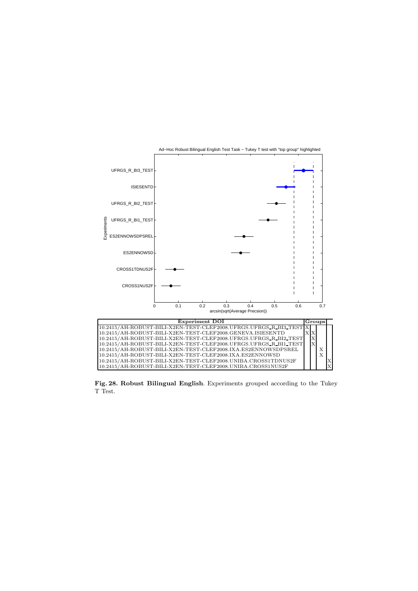

Fig. 28. Robust Bilingual English. Experiments grouped according to the Tukey T Test.

10.2415/AH-ROBUST-BILI-X2EN-TEST-CLEF2008.UNIBA.CROSS1NUS2F X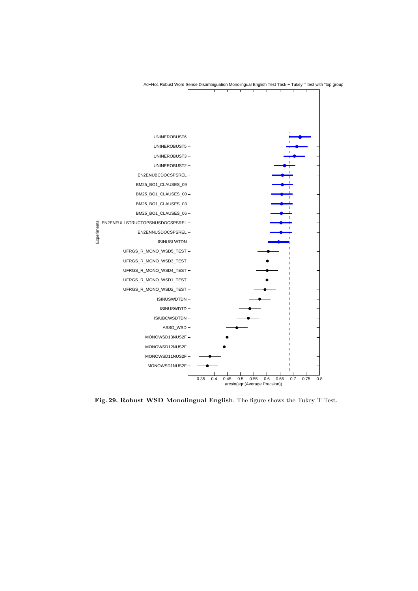

Ad-Hoc Robust Word Sense Disambiguation Monolingual English Test Task - Tukey T test with "top group"

Fig. 29. Robust WSD Monolingual English. The figure shows the Tukey T Test.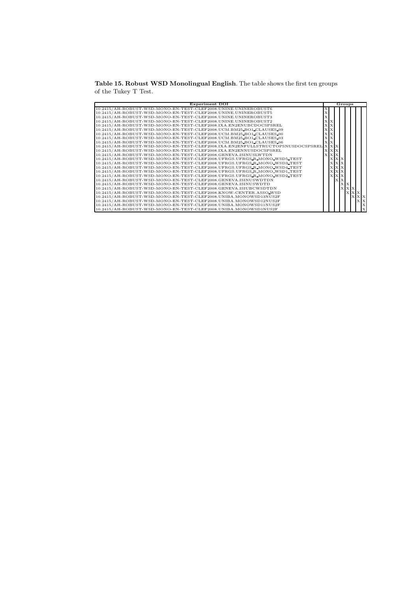Table 15. Robust WSD Monolingual English. The table shows the first ten groups of the Tukey T Test.

| Experiment DOI                                                                   |              |           |                |    | Groups      |              |            |
|----------------------------------------------------------------------------------|--------------|-----------|----------------|----|-------------|--------------|------------|
| 10.2415/AH-ROBUST-WSD-MONO-EN-TEST-CLEF2008.UNINE.UNINEROBUST6                   |              |           |                |    |             |              |            |
| 10.2415/AH-ROBUST-WSD-MONO-EN-TEST-CLEF2008.UNINE.UNINEROBUST5                   |              |           |                |    |             |              |            |
| 10.2415/AH-ROBUST-WSD-MONO-EN-TEST-CLEF2008.UNINE.UNINEROBUST3                   |              |           |                |    |             |              |            |
| 10.2415/AH-ROBUST-WSD-MONO-EN-TEST-CLEF2008.UNINE.UNINEROBUST2                   | $\mathbf{x}$ | <b>x</b>  |                |    |             |              |            |
| 10.2415/AH-ROBUST-WSD-MONO-EN-TEST-CLEF2008.IXA.EN2ENUBCDOCSPSREL                | $\mathbf x$  | Ιx        |                |    |             |              |            |
| 10.2415/AH-ROBUST-WSD-MONO-EN-TEST-CLEF2008.UCM.BM25_BO1_CLAUSES_09              | X            |           |                |    |             |              |            |
| 10.2415/AH-ROBUST-WSD-MONO-EN-TEST-CLEF2008.UCM.BM25_BO1_CLAUSES_00              |              |           |                |    |             |              |            |
| 10.2415/AH-ROBUST-WSD-MONO-EN-TEST-CLEF2008.UCM.BM25_BO1_CLAUSES_03              |              |           |                |    |             |              |            |
| 10.2415/AH-ROBUST-WSD-MONO-EN-TEST-CLEF2008.UCM.BM25_BO1_CLAUSES_06              | X            |           |                |    |             |              |            |
| 10.2415/AH-ROBUST-WSD-MONO-EN-TEST-CLEF2008.IXA.EN2ENFULLSTRUCTOPSNUSDOCSPSREL X |              | <b>XX</b> |                |    |             |              |            |
| 10.2415/AH-ROBUST-WSD-MONO-EN-TEST-CLEF2008.IXA.EN2ENNUSDOCSPSREL                | x            |           | X X            |    |             |              |            |
| 10.2415/AH-ROBUST-WSD-MONO-EN-TEST-CLEF2008.GENEVA.ISINUSLWTDN                   |              | $X$ $X$   |                |    |             |              |            |
| 10.2415/AH-ROBUST-WSD-MONO-EN-TEST-CLEF2008.UFRGS.UFRGS_R_MONO_WSD5_TEST         |              |           | $\mathbf{x}$   |    |             |              |            |
| 10.2415/AH-ROBUST-WSD-MONO-EN-TEST-CLEF2008.UFRGS.UFRGS_R_MONO_WSD3_TEST         |              |           | X <sub>X</sub> |    |             |              |            |
| 10.2415/AH-ROBUST-WSD-MONO-EN-TEST-CLEF2008.UFRGS.UFRGS_R_MONO_WSD4_TEST         |              |           | <b>x x x</b>   |    |             |              |            |
| 10.2415/AH-ROBUST-WSD-MONO-EN-TEST-CLEF2008.UFRGS.UFRGS.R_MONO_WSD1_TEST         |              |           | <b>XXX</b>     |    |             |              |            |
| 10.2415/AH-ROBUST-WSD-MONO-EN-TEST-CLEF2008.UFRGS.UFRGS_R_MONO_WSD2_TEST         |              |           | <b>XXX</b>     |    |             |              |            |
| 10.2415/AH-ROBUST-WSD-MONO-EN-TEST-CLEF2008.GENEVA.ISINUSWDTDN                   |              |           | $\mathbf{x}$   |    |             |              |            |
| 10.2415/AH-ROBUST-WSD-MONO-EN-TEST-CLEF2008.GENEVA.ISINUSWDTD                    |              |           |                | XX |             |              |            |
| 10.2415/AH-ROBUST-WSD-MONO-EN-TEST-CLEF2008.GENEVA.ISIUBCWSDTDN                  |              |           |                |    | $X$ $X$ $X$ |              |            |
| 10.2415/AH-ROBUST-WSD-MONO-EN-TEST-CLEF2008.KNOW-CENTER.ASSO_WSD                 |              |           |                |    |             | <b>x x x</b> |            |
| 10.2415/AH-ROBUST-WSD-MONO-EN-TEST-CLEF2008.UNIBA.MONOWSD13NUS2F                 |              |           |                |    |             |              | <b>XXX</b> |
| 10.2415/AH-ROBUST-WSD-MONO-EN-TEST-CLEF2008.UNIBA.MONOWSD12NUS2F                 |              |           |                |    |             |              | $X$ $X$    |
| 10.2415/AH-ROBUST-WSD-MONO-EN-TEST-CLEF2008.UNIBA.MONOWSD11NUS2F                 |              |           |                |    |             |              |            |
| 10.2415/AH-ROBUST-WSD-MONO-EN-TEST-CLEF2008.UNIBA.MONOWSD1NUS2F                  |              |           |                |    |             |              |            |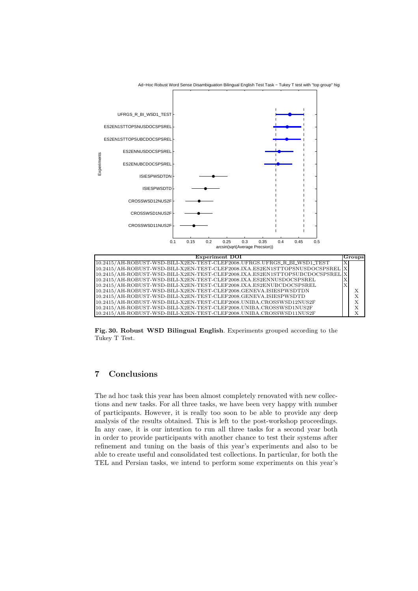

Ad-Hoc Robust Word Sense Disambiguation Bilingual English Test Task - Tukey T test with "top group" higl

Fig. 30. Robust WSD Bilingual English. Experiments grouped according to the Tukey T Test.

# 7 Conclusions

The ad hoc task this year has been almost completely renovated with new collections and new tasks. For all three tasks, we have been very happy with number of participants. However, it is really too soon to be able to provide any deep analysis of the results obtained. This is left to the post-workshop proceedings. In any case, it is our intention to run all three tasks for a second year both in order to provide participants with another chance to test their systems after refinement and tuning on the basis of this year's experiments and also to be able to create useful and consolidated test collections. In particular, for both the TEL and Persian tasks, we intend to perform some experiments on this year's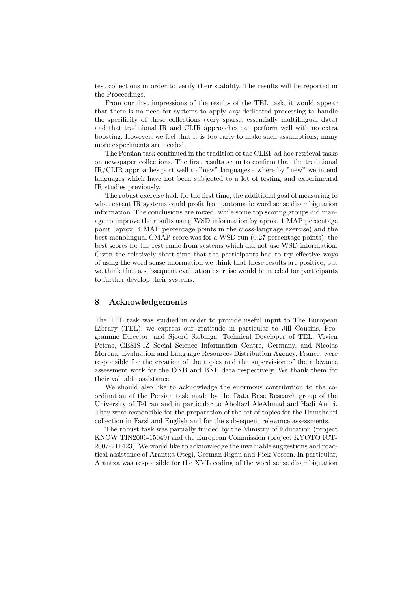test collections in order to verify their stability. The results will be reported in the Proceedings.

From our first impressions of the results of the TEL task, it would appear that there is no need for systems to apply any dedicated processing to handle the specificity of these collections (very sparse, essentially multilingual data) and that traditional IR and CLIR approaches can perform well with no extra boosting. However, we feel that it is too early to make such assumptions; many more experiments are needed.

The Persian task continued in the tradition of the CLEF ad hoc retrieval tasks on newspaper collections. The first results seem to confirm that the traditional IR/CLIR approaches port well to "new" languages - where by "new" we intend languages which have not been subjected to a lot of testing and experimental IR studies previously.

The robust exercise had, for the first time, the additional goal of measuring to what extent IR systems could profit from automatic word sense disambiguation information. The conclusions are mixed: while some top scoring groups did manage to improve the results using WSD information by aprox. 1 MAP percentage point (aprox. 4 MAP percentage points in the cross-language exercise) and the best monolingual GMAP score was for a WSD run (0.27 percentage points), the best scores for the rest came from systems which did not use WSD information. Given the relatively short time that the participants had to try effective ways of using the word sense information we think that these results are positive, but we think that a subsequent evaluation exercise would be needed for participants to further develop their systems.

## 8 Acknowledgements

The TEL task was studied in order to provide useful input to The European Library (TEL); we express our gratitude in particular to Jill Cousins, Programme Director, and Sjoerd Siebinga, Technical Developer of TEL. Vivien Petras, GESIS-IZ Social Science Information Centre, Germany, and Nicolas Moreau, Evaluation and Language Resources Distribution Agency, France, were responsible for the creation of the topics and the supervision of the relevance assessment work for the ONB and BNF data respectively. We thank them for their valuable assistance.

We should also like to acknowledge the enormous contribution to the coordination of the Persian task made by the Data Base Research group of the University of Tehran and in particular to Abolfazl AleAhmad and Hadi Amiri. They were responsible for the preparation of the set of topics for the Hamshahri collection in Farsi and English and for the subsequent relevance assessments.

The robust task was partially funded by the Ministry of Education (project KNOW TIN2006-15049) and the European Commission (project KYOTO ICT-2007-211423). We would like to acknowledge the invaluable suggestions and practical assistance of Arantxa Otegi, German Rigau and Piek Vossen. In particular, Arantxa was responsible for the XML coding of the word sense disambiguation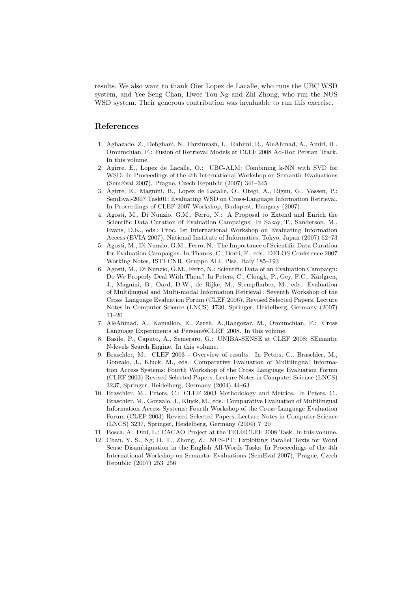results. We also want to thank Oier Lopez de Lacalle, who runs the UBC WSD system, and Yee Seng Chan, Hwee Tou Ng and Zhi Zhong, who run the NUS WSD system. Their generous contribution was invaluable to run this exercise.

## References

- 1. Aghazade, Z., Dehghani, N., Farzinvash, L., Rahimi, R., AleAhmad, A., Amiri, H., Oroumchian, F.: Fusion of Retrieval Models at CLEF 2008 Ad-Hoc Persian Track. In this volume.
- 2. Agirre, E., Lopez de Lacalle, O.: UBC-ALM: Combining k-NN with SVD for WSD. In Proceedings of the 4th International Workshop on Semantic Evaluations (SemEval 2007), Prague, Czech Republic (2007) 341–345
- 3. Agirre, E., Magnini, B., Lopez de Lacalle, O., Otegi, A., Rigau, G., Vossen, P.: SemEval-2007 Task01: Evaluating WSD on Cross-Language Information Retrieval. In Proceedings of CLEF 2007 Workshop, Budapest, Hungary (2007).
- 4. Agosti, M., Di Nunzio, G.M., Ferro, N.: A Proposal to Extend and Enrich the Scientific Data Curation of Evaluation Campaigns. In Sakay, T., Sanderson, M., Evans, D.K., eds.: Proc. 1st International Workshop on Evaluating Information Access (EVIA 2007), National Institute of Informatics, Tokyo, Japan (2007) 62–73
- 5. Agosti, M., Di Nunzio, G.M., Ferro, N.: The Importance of Scientific Data Curation for Evaluation Campaigns. In Thanos, C., Borri, F., eds.: DELOS Conference 2007 Working Notes, ISTI-CNR, Gruppo ALI, Pisa, Italy 185–193
- 6. Agosti, M., Di Nunzio, G.M., Ferro, N.: Scientific Data of an Evaluation Campaign: Do We Properly Deal With Them? In Peters, C., Clough, P., Gey, F.C., Karlgren, J., Magnini, B., Oard, D.W., de Rijke, M., Stempfhuber, M., eds.: Evaluation of Multilingual and Multi-modal Information Retrieval : Seventh Workshop of the Cross–Language Evaluation Forum (CLEF 2006). Revised Selected Papers, Lecture Notes in Computer Science (LNCS) 4730, Springer, Heidelberg, Germany (2007) 11–20
- 7. AleAhmad, A., Kamalloo, E., Zareh, A.,Rahgozar, M., Oroumchian, F.: Cross Language Experiments at Persian@CLEF 2008. In this volume.
- 8. Basile, P., Caputo, A., Semeraro, G.: UNIBA-SENSE at CLEF 2008: SEmantic N-levels Search Engine. In this volume.
- 9. Braschler, M.: CLEF 2003 Overview of results. In Peters, C., Braschler, M., Gonzalo, J., Kluck, M., eds.: Comparative Evaluation of Multilingual Information Access Systems: Fourth Workshop of the Cross–Language Evaluation Forum (CLEF 2003) Revised Selected Papers, Lecture Notes in Computer Science (LNCS) 3237, Springer, Heidelberg, Germany (2004) 44–63
- 10. Braschler, M., Peters, C.: CLEF 2003 Methodology and Metrics. In Peters, C., Braschler, M., Gonzalo, J., Kluck, M., eds.: Comparative Evaluation of Multilingual Information Access Systems: Fourth Workshop of the Cross–Language Evaluation Forum (CLEF 2003) Revised Selected Papers, Lecture Notes in Computer Science (LNCS) 3237, Springer, Heidelberg, Germany (2004) 7–20
- 11. Bosca, A., Dini, L.: CACAO Project at the TEL@CLEF 2008 Task. In this volume.
- 12. Chan, Y. S., Ng, H. T., Zhong, Z.: NUS-PT: Exploiting Parallel Texts for Word Sense Disambiguation in the English All-Words Tasks In Proceedings of the 4th International Workshop on Semantic Evaluations (SemEval 2007), Prague, Czech Republic (2007) 253–256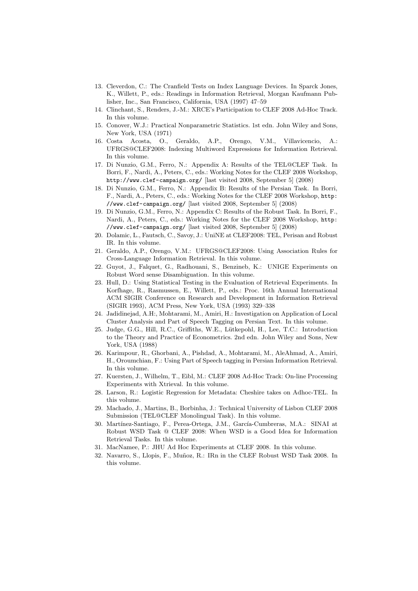- 13. Cleverdon, C.: The Cranfield Tests on Index Language Devices. In Sparck Jones, K., Willett, P., eds.: Readings in Information Retrieval, Morgan Kaufmann Publisher, Inc., San Francisco, California, USA (1997) 47–59
- 14. Clinchant, S., Renders, J.-M.: XRCE's Participation to CLEF 2008 Ad-Hoc Track. In this volume.
- 15. Conover, W.J.: Practical Nonparametric Statistics. 1st edn. John Wiley and Sons, New York, USA (1971)
- 16. Costa Acosta, O., Geraldo, A.P., Orengo, V.M., Villavicencio, A.: UFRGS@CLEF2008: Indexing Multiword Expressions for Information Retrieval. In this volume.
- 17. Di Nunzio, G.M., Ferro, N.: Appendix A: Results of the TEL@CLEF Task. In Borri, F., Nardi, A., Peters, C., eds.: Working Notes for the CLEF 2008 Workshop, http://www.clef-campaign.org/ [last visited 2008, September 5] (2008)
- 18. Di Nunzio, G.M., Ferro, N.: Appendix B: Results of the Persian Task. In Borri, F., Nardi, A., Peters, C., eds.: Working Notes for the CLEF 2008 Workshop, http: //www.clef-campaign.org/ [last visited 2008, September 5] (2008)
- 19. Di Nunzio, G.M., Ferro, N.: Appendix C: Results of the Robust Task. In Borri, F., Nardi, A., Peters, C., eds.: Working Notes for the CLEF 2008 Workshop, http: //www.clef-campaign.org/ [last visited 2008, September 5] (2008)
- 20. Dolamic, L., Fautsch, C., Savoy, J.: UniNE at CLEF2008: TEL, Perisan and Robust IR. In this volume.
- 21. Geraldo, A.P., Orengo, V.M.: UFRGS@CLEF2008: Using Association Rules for Cross-Language Information Retrieval. In this volume.
- 22. Guyot, J., Falquet, G., Radhouani, S., Benzineb, K.: UNIGE Experiments on Robust Word sense Disambiguation. In this volume.
- 23. Hull, D.: Using Statistical Testing in the Evaluation of Retrieval Experiments. In Korfhage, R., Rasmussen, E., Willett, P., eds.: Proc. 16th Annual International ACM SIGIR Conference on Research and Development in Information Retrieval (SIGIR 1993), ACM Press, New York, USA (1993) 329–338
- 24. Jadidinejad, A.H:, Mohtarami, M., Amiri, H.: Investigation on Application of Local Cluster Analysis and Part of Speech Tagging on Persian Text. In this volume.
- 25. Judge, G.G., Hill, R.C., Griffiths, W.E., Lütkepohl, H., Lee, T.C.: Introduction to the Theory and Practice of Econometrics. 2nd edn. John Wiley and Sons, New York, USA (1988)
- 26. Karimpour, R., Ghorbani, A., Pishdad, A., Mohtarami, M., AleAhmad, A., Amiri, H., Oroumchian, F.: Using Part of Speech tagging in Persian Information Retrieval. In this volume.
- 27. Kuersten, J., Wilhelm, T., Eibl, M.: CLEF 2008 Ad-Hoc Track: On-line Processing Experiments with Xtrieval. In this volume.
- 28. Larson, R.: Logistic Regression for Metadata: Cheshire takes on Adhoc-TEL. In this volume.
- 29. Machado, J., Martins, B., Borbinha, J.: Technical University of Lisbon CLEF 2008 Submission (TEL@CLEF Monolingual Task). In this volume.
- 30. Martínez-Santiago, F., Perea-Ortega, J.M., García-Cumbreras, M.A.: SINAI at Robust WSD Task @ CLEF 2008: When WSD is a Good Idea for Information Retrieval Tasks. In this volume.
- 31. MacNamee, P.: JHU Ad Hoc Experiments at CLEF 2008. In this volume.
- 32. Navarro, S., Llopis, F., Muñoz, R.: IRn in the CLEF Robust WSD Task 2008. In this volume.